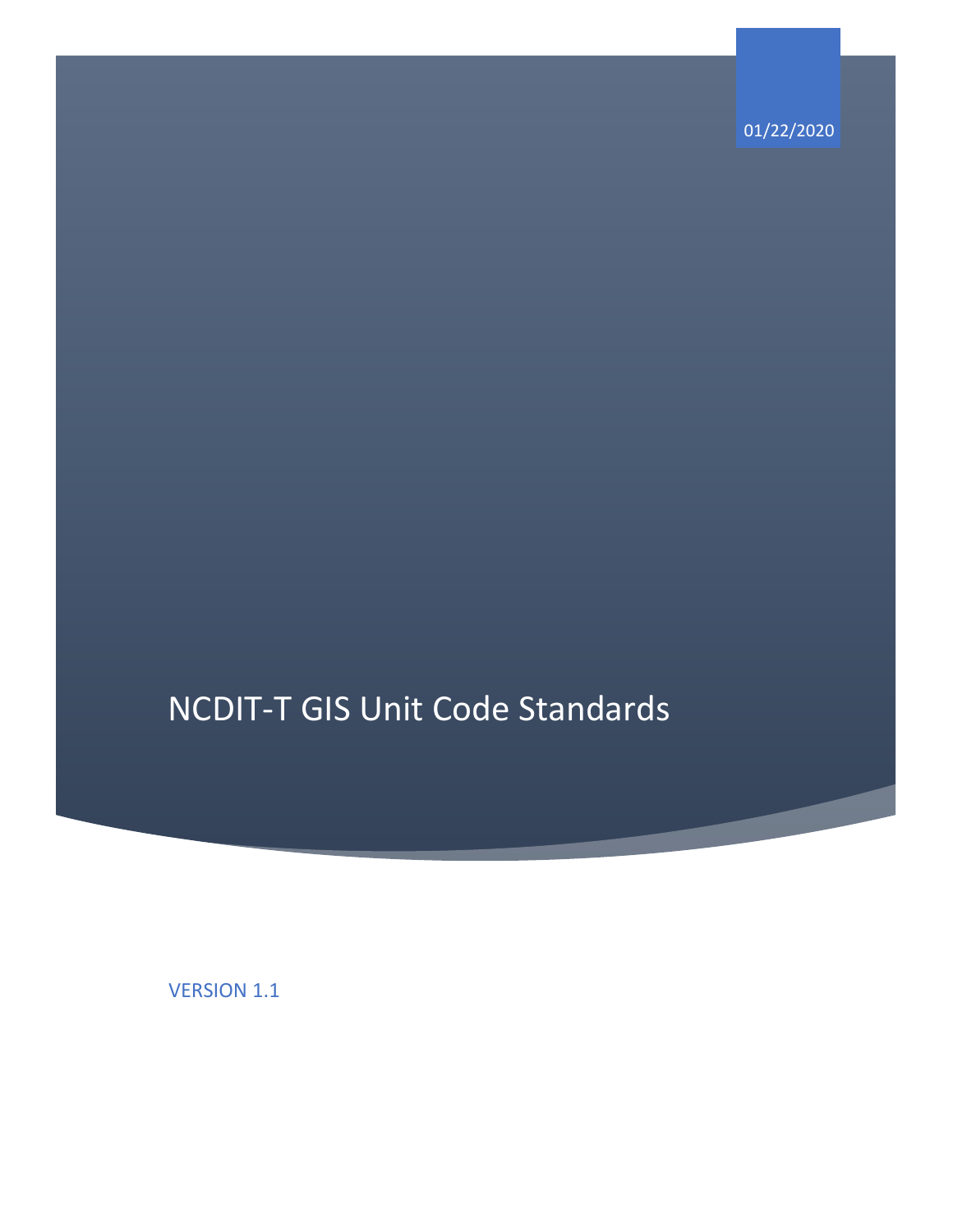01/22/2020

# NCDIT-T GIS Unit Code Standards

VERSION 1.1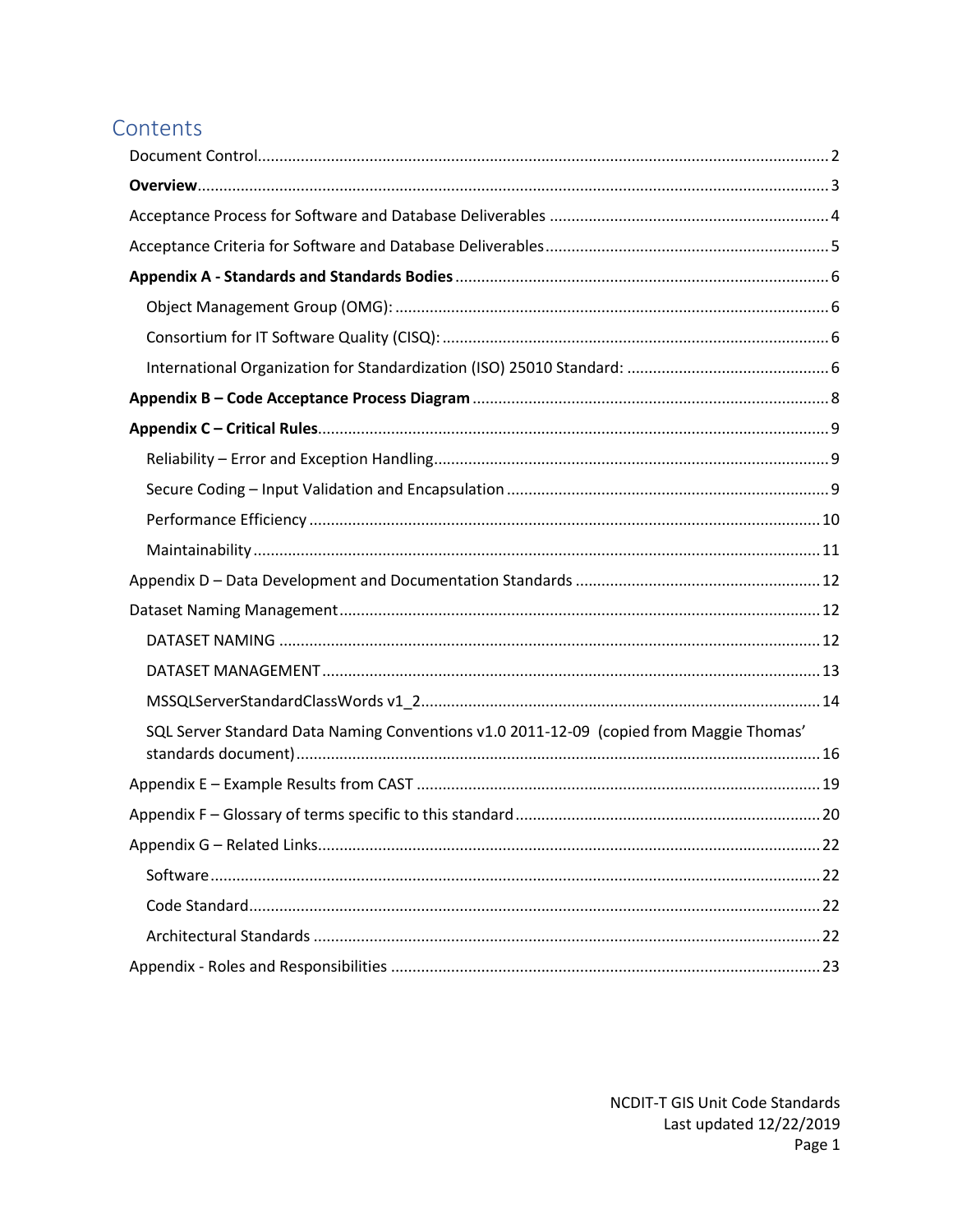# Contents

| SQL Server Standard Data Naming Conventions v1.0 2011-12-09 (copied from Maggie Thomas' |  |
|-----------------------------------------------------------------------------------------|--|
|                                                                                         |  |
|                                                                                         |  |
|                                                                                         |  |
|                                                                                         |  |
|                                                                                         |  |
|                                                                                         |  |
|                                                                                         |  |
|                                                                                         |  |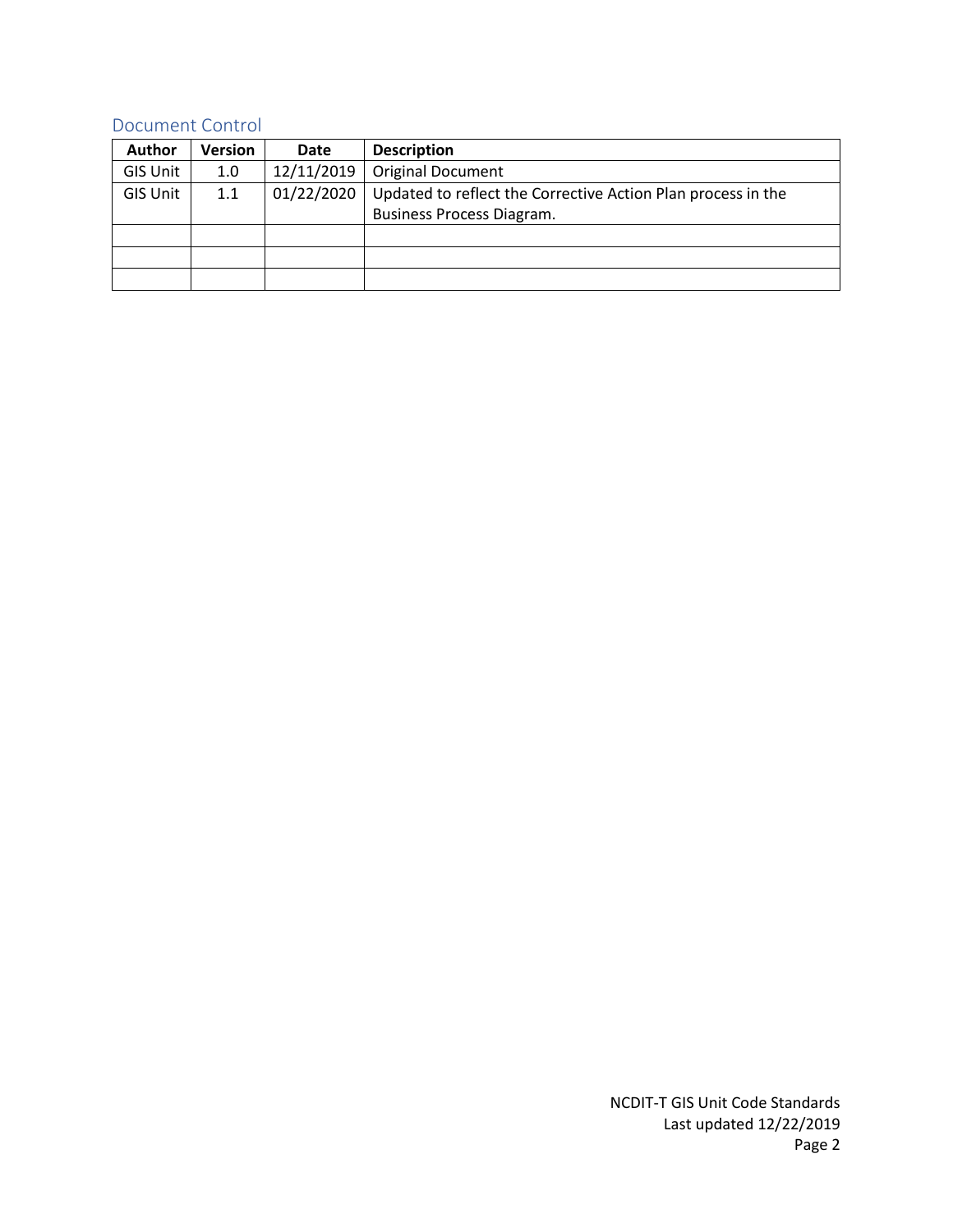### <span id="page-2-0"></span>Document Control

| <b>Author</b>   | Version | <b>Date</b> | <b>Description</b>                                           |
|-----------------|---------|-------------|--------------------------------------------------------------|
| <b>GIS Unit</b> | 1.0     | 12/11/2019  | <b>Original Document</b>                                     |
| <b>GIS Unit</b> | 1.1     | 01/22/2020  | Updated to reflect the Corrective Action Plan process in the |
|                 |         |             | Business Process Diagram.                                    |
|                 |         |             |                                                              |
|                 |         |             |                                                              |
|                 |         |             |                                                              |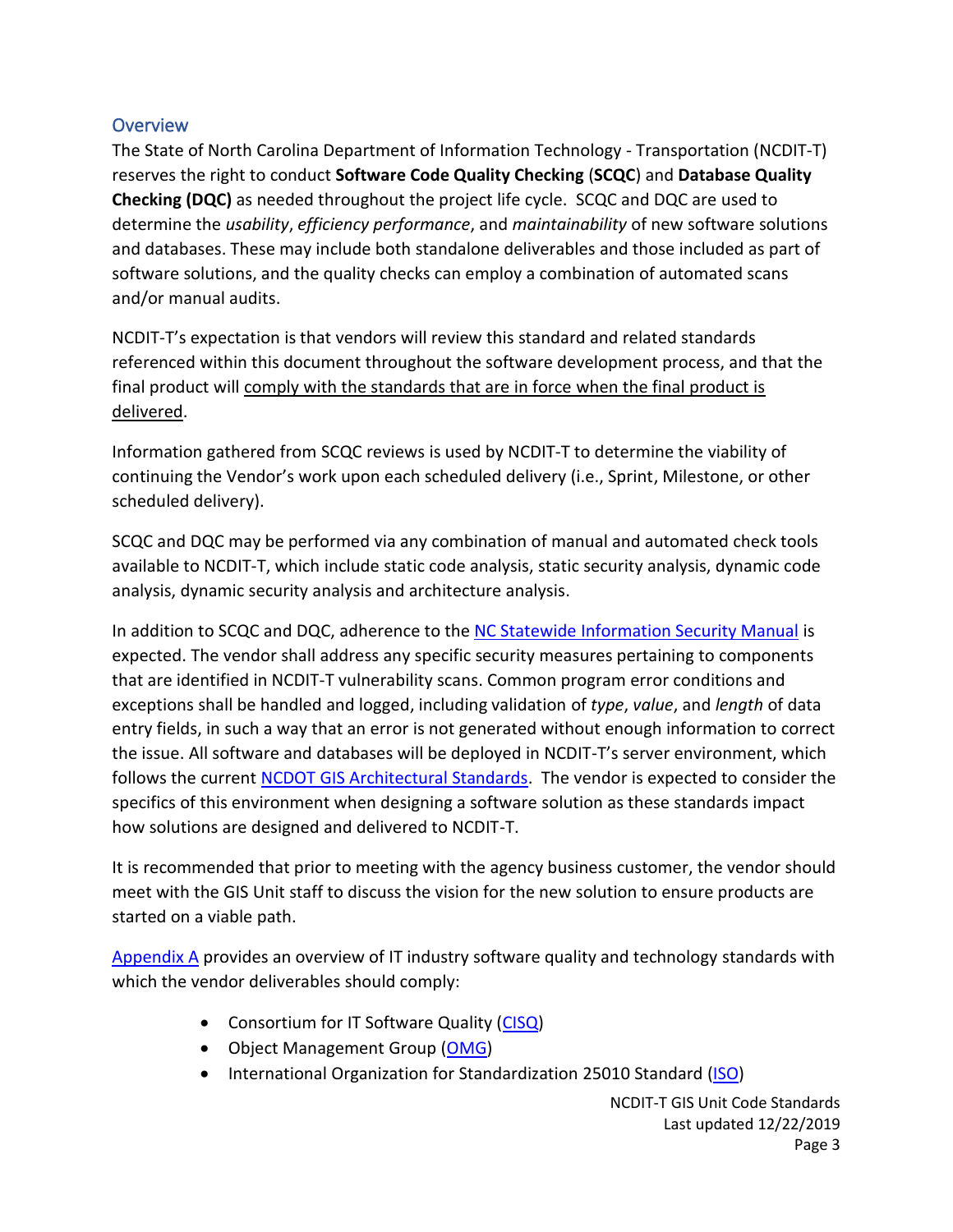# <span id="page-3-0"></span>**Overview**

The State of North Carolina Department of Information Technology - Transportation (NCDIT-T) reserves the right to conduct **Software Code Quality Checking** (**SCQC**) and **Database Quality Checking (DQC)** as needed throughout the project life cycle. SCQC and DQC are used to determine the *usability*, *efficiency performance*, and *maintainability* of new software solutions and databases. These may include both standalone deliverables and those included as part of software solutions, and the quality checks can employ a combination of automated scans and/or manual audits.

NCDIT-T's expectation is that vendors will review this standard and related standards referenced within this document throughout the software development process, and that the final product will comply with the standards that are in force when the final product is delivered.

Information gathered from SCQC reviews is used by NCDIT-T to determine the viability of continuing the Vendor's work upon each scheduled delivery (i.e., Sprint, Milestone, or other scheduled delivery).

SCQC and DQC may be performed via any combination of manual and automated check tools available to NCDIT-T, which include static code analysis, static security analysis, dynamic code analysis, dynamic security analysis and architecture analysis.

In addition to SCQC and DQC, adherence to th[e NC Statewide Information Security Manual](https://it.nc.gov/documents/statewide-information-security-manual) is expected. The vendor shall address any specific security measures pertaining to components that are identified in NCDIT-T vulnerability scans. Common program error conditions and exceptions shall be handled and logged, including validation of *type*, *value*, and *length* of data entry fields, in such a way that an error is not generated without enough information to correct the issue. All software and databases will be deployed in NCDIT-T's server environment, which follows the current [NCDOT GIS Architectural Standards.](https://xfer.services.ncdot.gov/gisdot/GISStandardsAndPractices/NCDOT%20GIS%20Architectural%20Standards.pdf) The vendor is expected to consider the specifics of this environment when designing a software solution as these standards impact how solutions are designed and delivered to NCDIT-T.

It is recommended that prior to meeting with the agency business customer, the vendor should meet with the GIS Unit staff to discuss the vision for the new solution to ensure products are started on a viable path.

[Appendix A](#page-6-0) provides an overview of IT industry software quality and technology standards with which the vendor deliverables should comply:

- Consortium for IT Software Quality [\(CISQ\)](https://www.it-cisq.org/)
- Object Management Group [\(OMG\)](https://www.omg.org/)
- International Organization for Standardization 25010 Standard [\(ISO\)](https://www.iso.org/about-us.html)

NCDIT-T GIS Unit Code Standards Last updated 12/22/2019 Page 3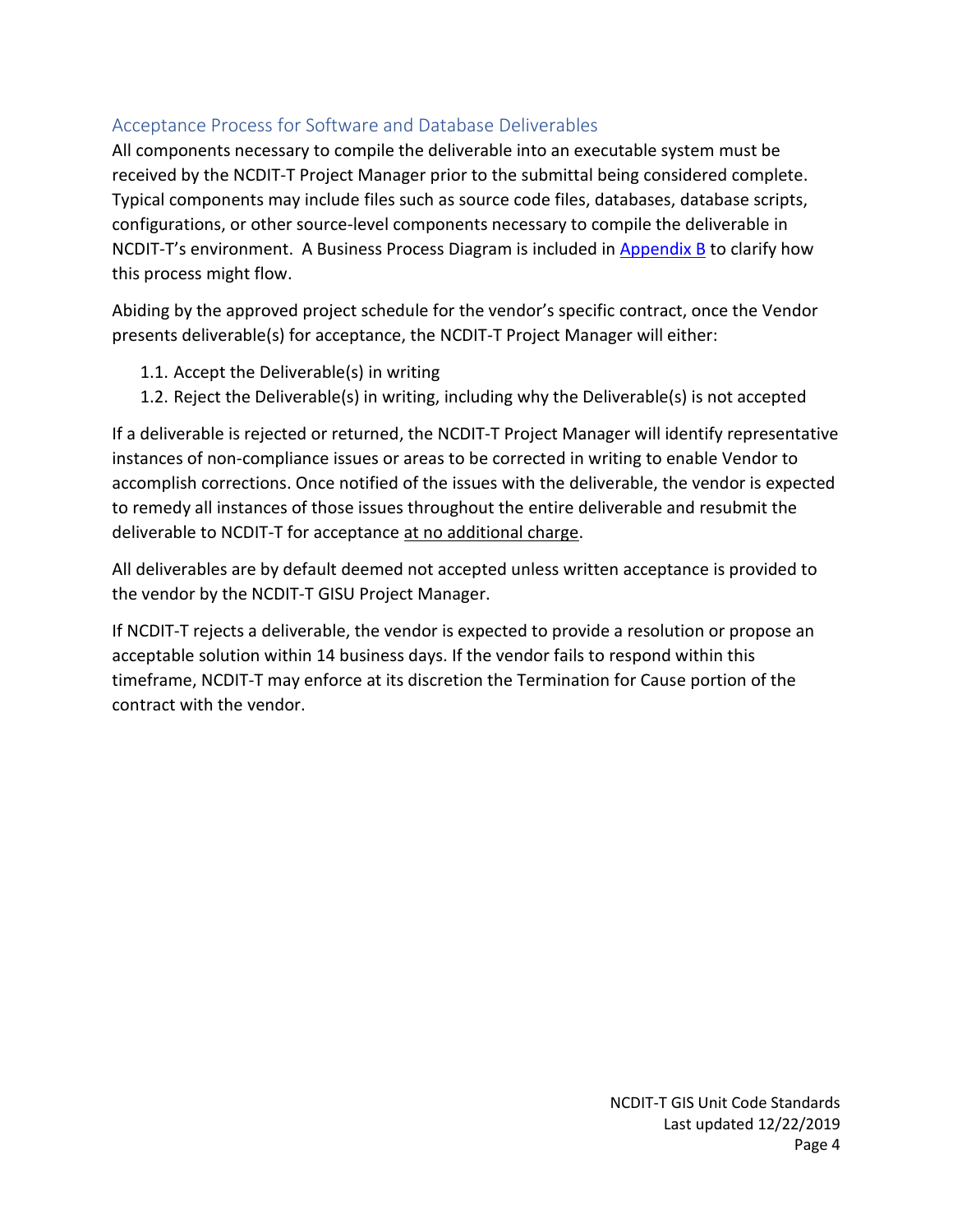# <span id="page-4-0"></span>Acceptance Process for Software and Database Deliverables

All components necessary to compile the deliverable into an executable system must be received by the NCDIT-T Project Manager prior to the submittal being considered complete. Typical components may include files such as source code files, databases, database scripts, configurations, or other source-level components necessary to compile the deliverable in NCDIT-T's environment. A Business Process Diagram is included in [Appendix B](#page-8-0) to clarify how this process might flow.

Abiding by the approved project schedule for the vendor's specific contract, once the Vendor presents deliverable(s) for acceptance, the NCDIT-T Project Manager will either:

- 1.1. Accept the Deliverable(s) in writing
- 1.2. Reject the Deliverable(s) in writing, including why the Deliverable(s) is not accepted

If a deliverable is rejected or returned, the NCDIT-T Project Manager will identify representative instances of non-compliance issues or areas to be corrected in writing to enable Vendor to accomplish corrections. Once notified of the issues with the deliverable, the vendor is expected to remedy all instances of those issues throughout the entire deliverable and resubmit the deliverable to NCDIT-T for acceptance at no additional charge.

All deliverables are by default deemed not accepted unless written acceptance is provided to the vendor by the NCDIT-T GISU Project Manager.

If NCDIT-T rejects a deliverable, the vendor is expected to provide a resolution or propose an acceptable solution within 14 business days. If the vendor fails to respond within this timeframe, NCDIT-T may enforce at its discretion the Termination for Cause portion of the contract with the vendor.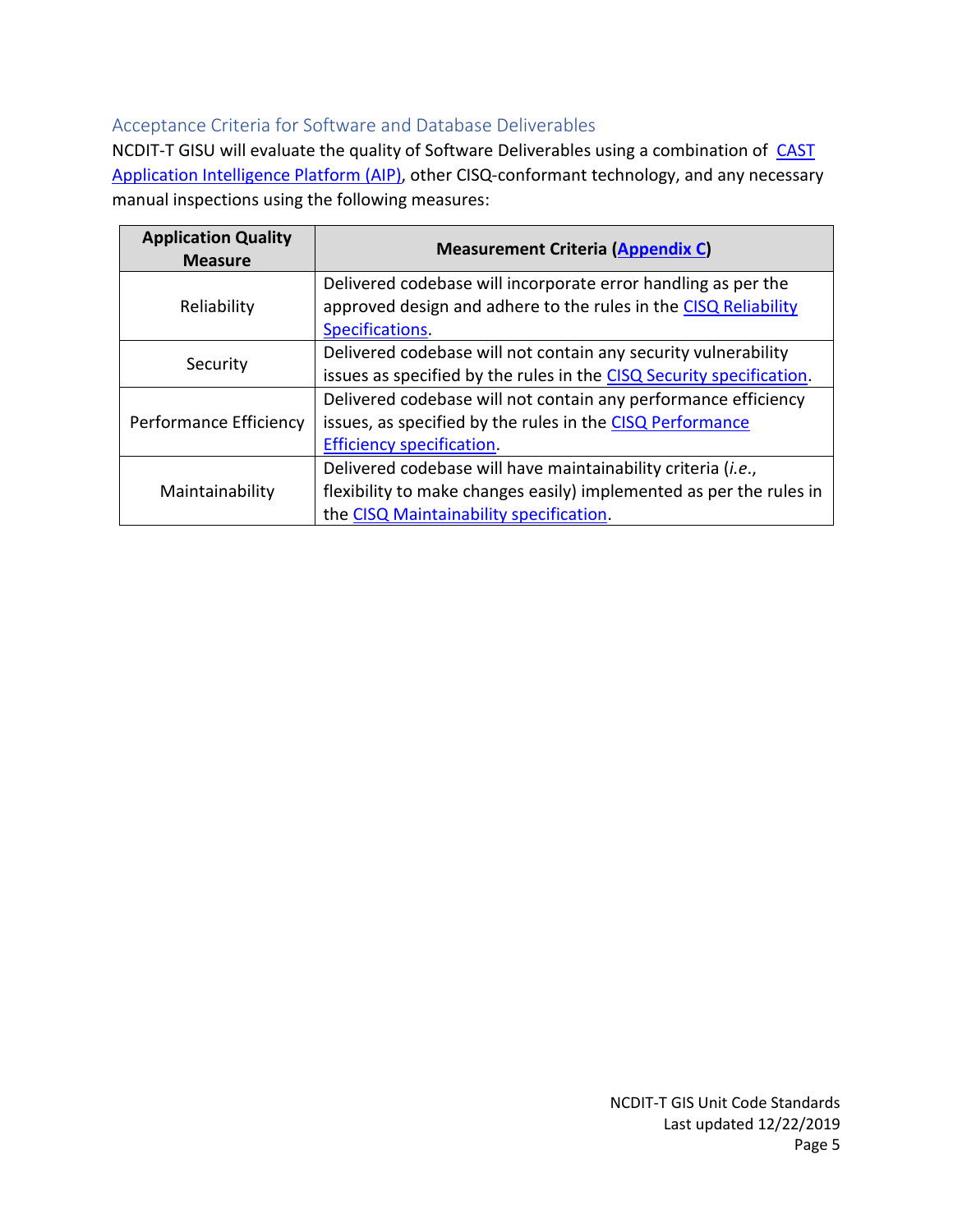# <span id="page-5-0"></span>Acceptance Criteria for Software and Database Deliverables

NCDIT-T GISU will evaluate the quality of Software Deliverables using a combination of CAST [Application Intelligence Platform \(AIP\),](https://www.castsoftware.com/) other CISQ-conformant technology, and any necessary manual inspections using the following measures:

| <b>Application Quality</b><br><b>Measure</b> | <b>Measurement Criteria (Appendix C)</b>                                                                                                                                       |
|----------------------------------------------|--------------------------------------------------------------------------------------------------------------------------------------------------------------------------------|
| Reliability                                  | Delivered codebase will incorporate error handling as per the<br>approved design and adhere to the rules in the CISQ Reliability<br>Specifications.                            |
| Security                                     | Delivered codebase will not contain any security vulnerability<br>issues as specified by the rules in the CISQ Security specification.                                         |
| Performance Efficiency                       | Delivered codebase will not contain any performance efficiency<br>issues, as specified by the rules in the CISQ Performance<br><b>Efficiency specification.</b>                |
| Maintainability                              | Delivered codebase will have maintainability criteria (i.e.,<br>flexibility to make changes easily) implemented as per the rules in<br>the CISQ Maintainability specification. |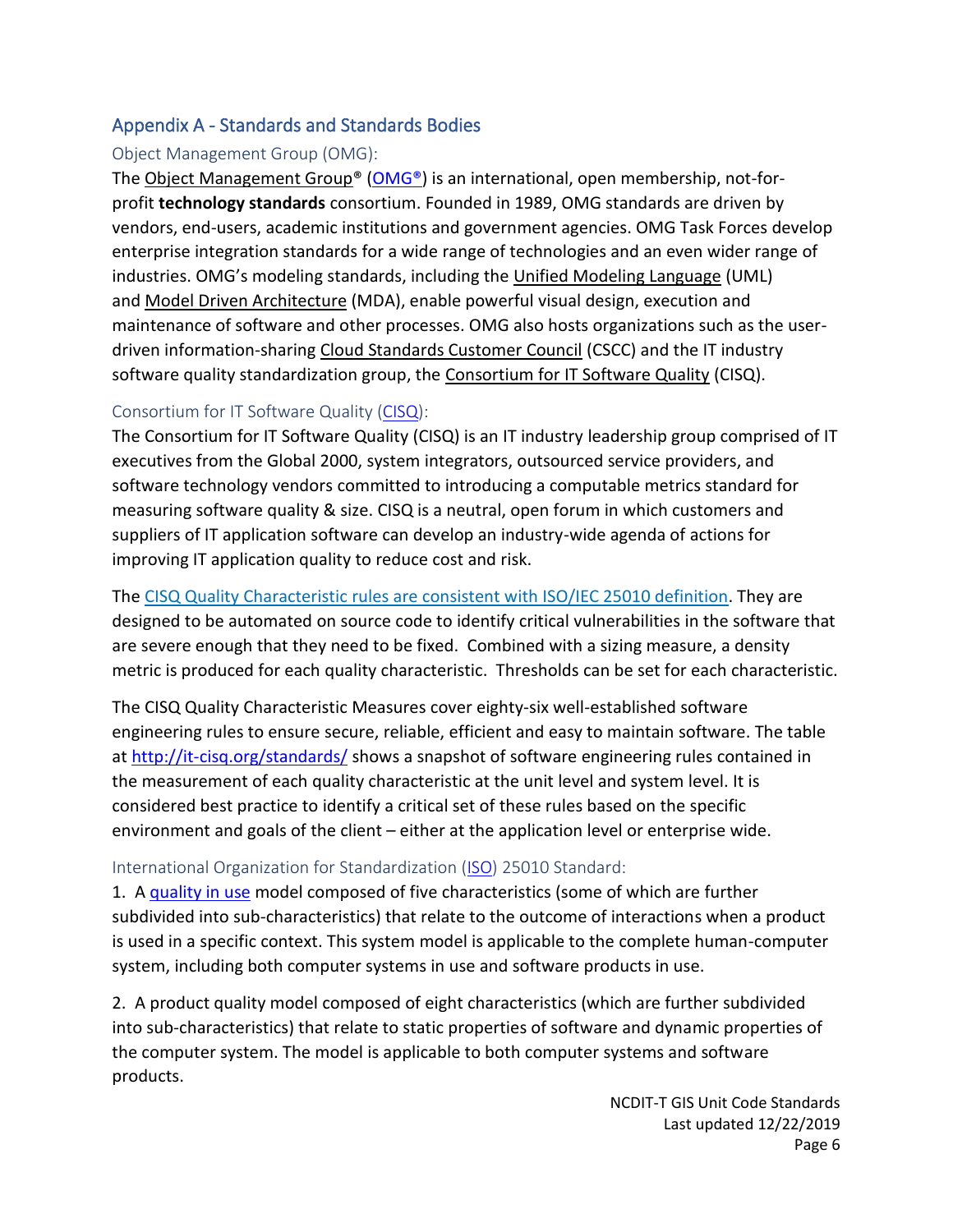# <span id="page-6-0"></span>Appendix A - Standards and Standards Bodies

### <span id="page-6-1"></span>Object Management Group (OMG):

The Object Management Group<sup>®</sup> (OMG<sup>®</sup>) is an international, open membership, not-forprofit **technology standards** consortium. Founded in 1989, OMG standards are driven by vendors, end-users, academic institutions and government agencies. OMG Task Forces develop enterprise integration standards for a wide range of technologies and an even wider range of industries. OMG's modeling standards, including the [Unified Modeling Language](http://www.uml.org/) (UML) and [Model Driven Architecture](http://www.omg.org/mda/) (MDA), enable powerful visual design, execution and maintenance of software and other processes. OMG also hosts organizations such as the userdriven information-sharing [Cloud Standards Customer Council](http://www.cloud-council.org/) (CSCC) and the IT industry software quality standardization group, the [Consortium for IT Software Quality](http://it-cisq.org/) (CISQ).

# <span id="page-6-2"></span>[Consortium for IT Software Quality](http://it-cisq.org/) [\(CISQ\)](https://www.it-cisq.org/):

The Consortium for IT Software Quality (CISQ) is an IT industry leadership group comprised of IT executives from the Global 2000, system integrators, outsourced service providers, and software technology vendors committed to introducing a computable metrics standard for measuring software quality & size. CISQ is a neutral, open forum in which customers and suppliers of IT application software can develop an industry-wide agenda of actions for improving IT application quality to reduce cost and risk.

The CISQ Quality [Characteristic](http://it-cisq.org/cisq-supplements-isoiec-25000-series-with-automated-quality-characteristic-measures/) rules are consistent with ISO/IEC 25010 definition. They are designed to be automated on source code to identify critical vulnerabilities in the software that are severe enough that they need to be fixed. Combined with a sizing measure, a density metric is produced for each quality characteristic. Thresholds can be set for each characteristic.

The CISQ Quality Characteristic Measures cover eighty-six well-established software engineering rules to ensure secure, reliable, efficient and easy to maintain software. The table at <http://it-cisq.org/standards/> shows a snapshot of software engineering rules contained in the measurement of each quality characteristic at the unit level and system level. It is considered best practice to identify a critical set of these rules based on the specific environment and goals of the client – either at the application level or enterprise wide.

# <span id="page-6-3"></span>International Organization for Standardization [\(ISO\)](https://www.iso.org/home.html) 25010 Standard:

1. A [quality](https://www.iso.org/standard/39752.html) in use model composed of five characteristics (some of which are further subdivided into sub-characteristics) that relate to the outcome of interactions when a product is used in a specific context. This system model is applicable to the complete human-computer system, including both computer systems in use and software products in use.

2. A product quality model composed of eight characteristics (which are further subdivided into sub-characteristics) that relate to static properties of software and dynamic properties of the computer system. The model is applicable to both computer systems and software products.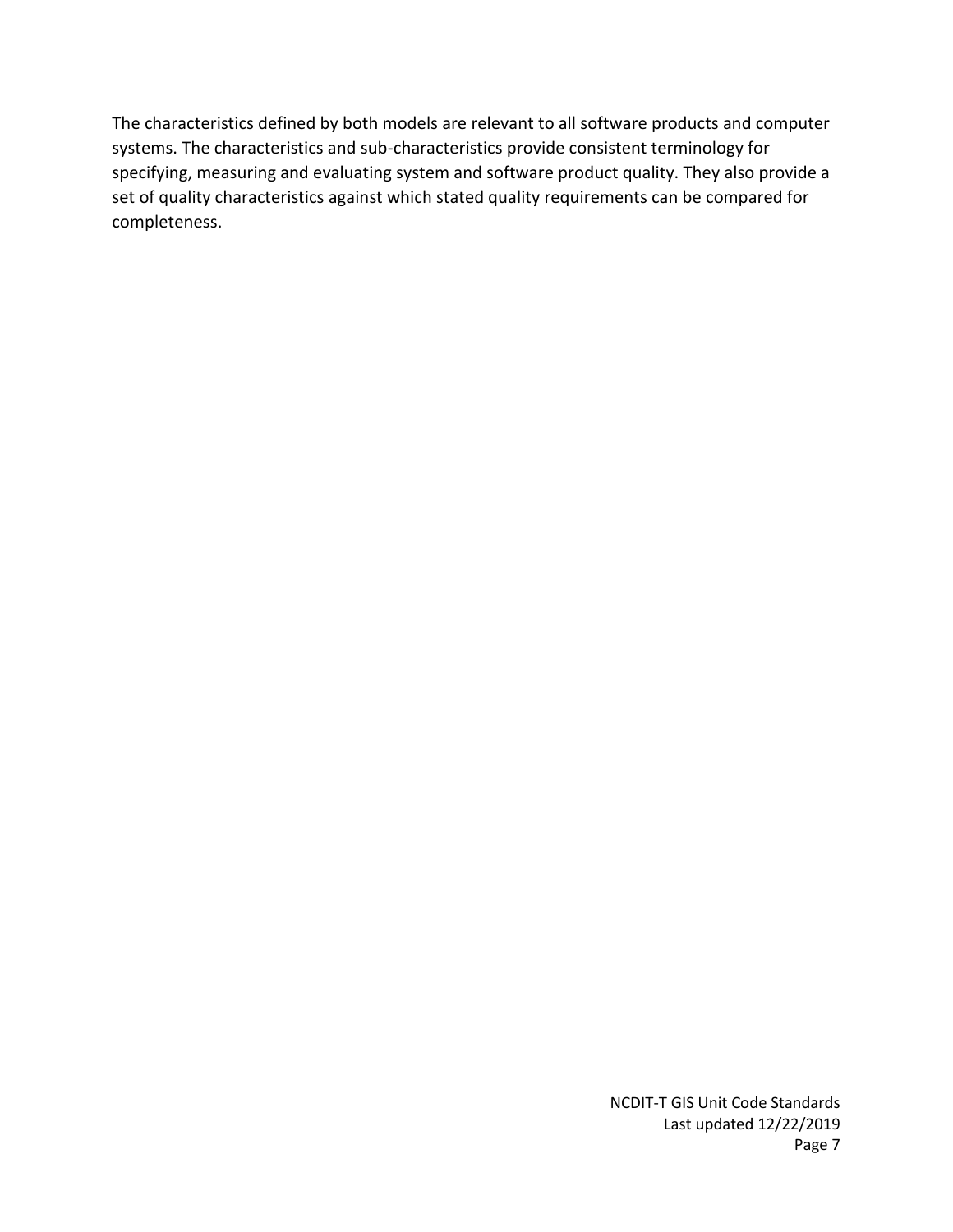The characteristics defined by both models are relevant to all software products and computer systems. The characteristics and sub-characteristics provide consistent terminology for specifying, measuring and evaluating system and software product quality. They also provide a set of quality characteristics against which stated quality requirements can be compared for completeness.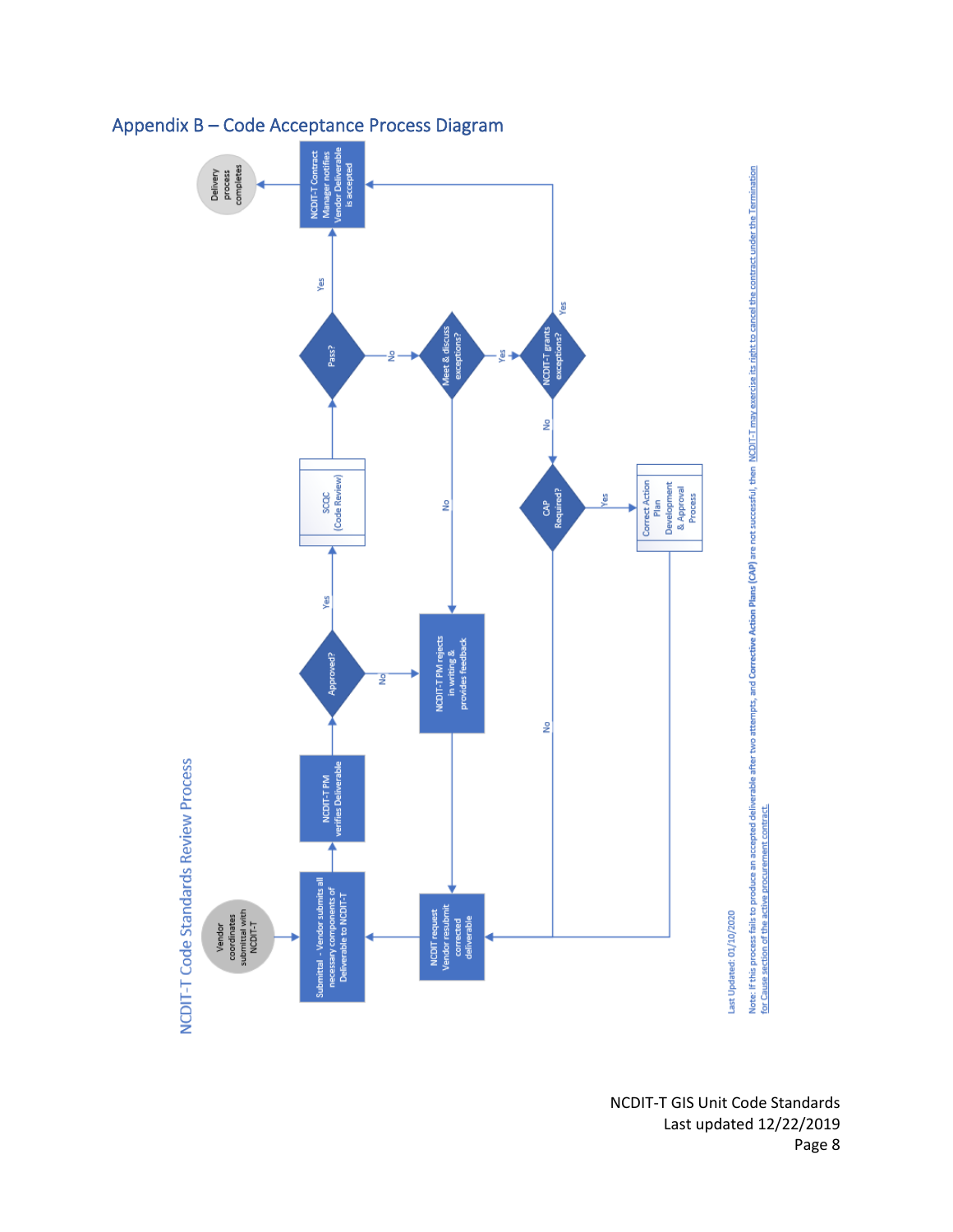

# <span id="page-8-0"></span>Appendix B – Code Acceptance Process Diagram

Page 8

NCDIT-T GIS Unit Code Standards Last updated 12/22/2019

Note: If this process fails to produce an accepted deliverable after two attempts, and Corrective Action Plans (CAP) are not successful, then <u>NCDIT-T may exercise its right to cancel the contract under the Termination</u><br><u>f</u>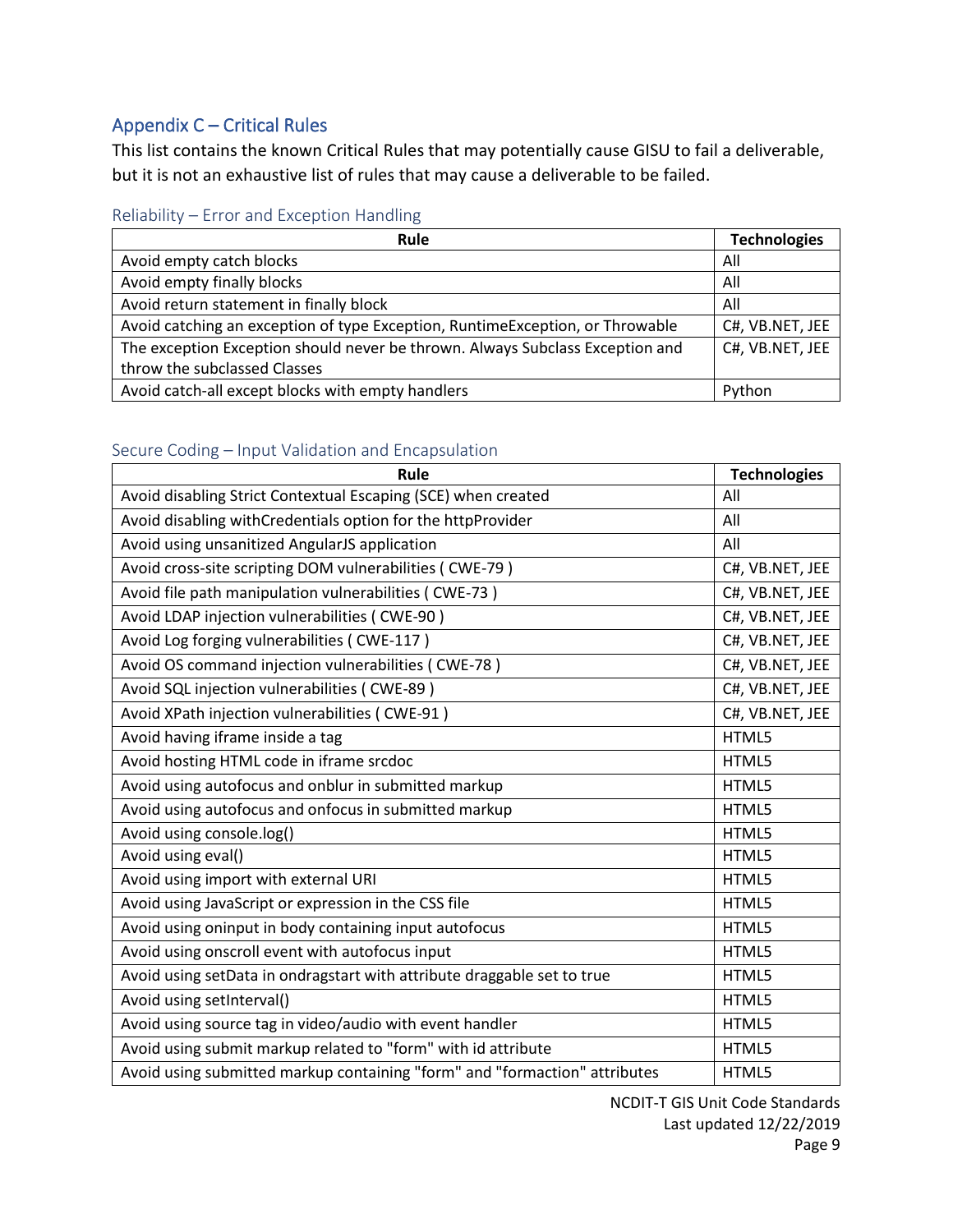# <span id="page-9-0"></span>Appendix C – Critical Rules

This list contains the known Critical Rules that may potentially cause GISU to fail a deliverable, but it is not an exhaustive list of rules that may cause a deliverable to be failed.

<span id="page-9-1"></span>

| <b>Rule</b>                                                                   | <b>Technologies</b> |
|-------------------------------------------------------------------------------|---------------------|
| Avoid empty catch blocks                                                      | All                 |
| Avoid empty finally blocks                                                    | All                 |
| Avoid return statement in finally block                                       | All                 |
| Avoid catching an exception of type Exception, RuntimeException, or Throwable | C#, VB.NET, JEE     |
| The exception Exception should never be thrown. Always Subclass Exception and | C#, VB.NET, JEE     |
| throw the subclassed Classes                                                  |                     |
| Avoid catch-all except blocks with empty handlers                             | Python              |

### <span id="page-9-2"></span>Secure Coding – Input Validation and Encapsulation

| Rule                                                                       | <b>Technologies</b> |
|----------------------------------------------------------------------------|---------------------|
| Avoid disabling Strict Contextual Escaping (SCE) when created              | All                 |
| Avoid disabling withCredentials option for the httpProvider                | All                 |
| Avoid using unsanitized AngularJS application                              | All                 |
| Avoid cross-site scripting DOM vulnerabilities (CWE-79)                    | C#, VB.NET, JEE     |
| Avoid file path manipulation vulnerabilities (CWE-73)                      | C#, VB.NET, JEE     |
| Avoid LDAP injection vulnerabilities (CWE-90)                              | C#, VB.NET, JEE     |
| Avoid Log forging vulnerabilities (CWE-117)                                | C#, VB.NET, JEE     |
| Avoid OS command injection vulnerabilities (CWE-78)                        | C#, VB.NET, JEE     |
| Avoid SQL injection vulnerabilities (CWE-89)                               | C#, VB.NET, JEE     |
| Avoid XPath injection vulnerabilities (CWE-91)                             | C#, VB.NET, JEE     |
| Avoid having iframe inside a tag                                           | HTML5               |
| Avoid hosting HTML code in iframe srcdoc                                   | HTML5               |
| Avoid using autofocus and onblur in submitted markup                       | HTML5               |
| Avoid using autofocus and onfocus in submitted markup                      | HTML5               |
| Avoid using console.log()                                                  | HTML5               |
| Avoid using eval()                                                         | HTML5               |
| Avoid using import with external URI                                       | HTML5               |
| Avoid using JavaScript or expression in the CSS file                       | HTML5               |
| Avoid using oninput in body containing input autofocus                     | HTML5               |
| Avoid using onscroll event with autofocus input                            | HTML5               |
| Avoid using setData in ondragstart with attribute draggable set to true    | HTML5               |
| Avoid using setInterval()                                                  | HTML5               |
| Avoid using source tag in video/audio with event handler                   | HTML5               |
| Avoid using submit markup related to "form" with id attribute              | HTML5               |
| Avoid using submitted markup containing "form" and "formaction" attributes | HTML5               |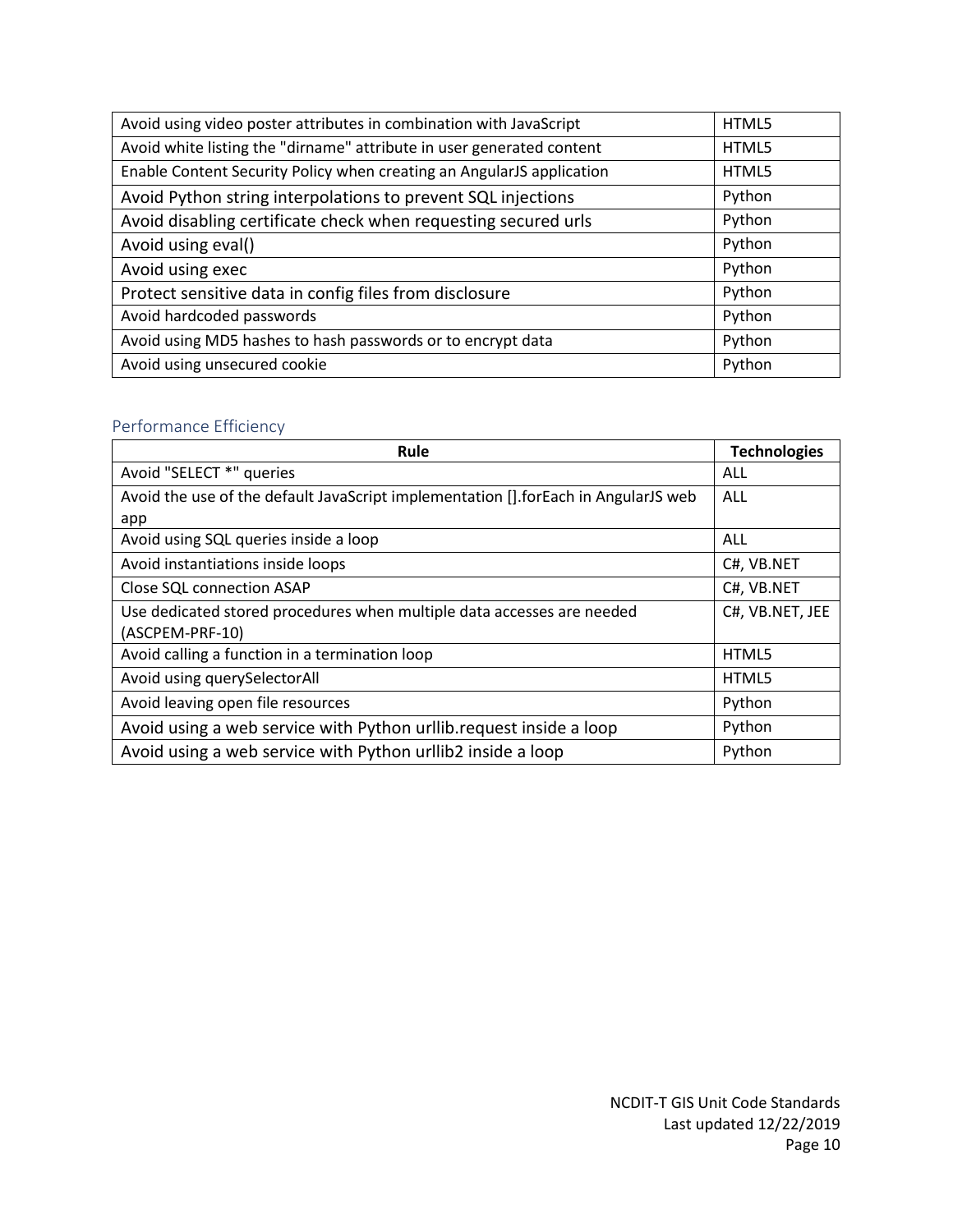| Avoid using video poster attributes in combination with JavaScript    | HTML5  |
|-----------------------------------------------------------------------|--------|
| Avoid white listing the "dirname" attribute in user generated content | HTML5  |
| Enable Content Security Policy when creating an AngularJS application | HTML5  |
| Avoid Python string interpolations to prevent SQL injections          | Python |
| Avoid disabling certificate check when requesting secured urls        | Python |
| Avoid using eval()                                                    | Python |
| Avoid using exec                                                      | Python |
| Protect sensitive data in config files from disclosure                | Python |
| Avoid hardcoded passwords                                             | Python |
| Avoid using MD5 hashes to hash passwords or to encrypt data           | Python |
| Avoid using unsecured cookie                                          | Python |

### <span id="page-10-0"></span>Performance Efficiency

| Rule                                                                               | <b>Technologies</b> |
|------------------------------------------------------------------------------------|---------------------|
| Avoid "SELECT *" queries                                                           | ALL                 |
| Avoid the use of the default JavaScript implementation [].forEach in AngularJS web | ALL                 |
| app                                                                                |                     |
| Avoid using SQL queries inside a loop                                              | ALL                 |
| Avoid instantiations inside loops                                                  | C#, VB.NET          |
| <b>Close SQL connection ASAP</b>                                                   | C#, VB.NET          |
| Use dedicated stored procedures when multiple data accesses are needed             | C#, VB.NET, JEE     |
| (ASCPEM-PRF-10)                                                                    |                     |
| Avoid calling a function in a termination loop                                     | HTML5               |
| Avoid using querySelectorAll                                                       | HTML5               |
| Avoid leaving open file resources                                                  | Python              |
| Avoid using a web service with Python urllib.request inside a loop                 | Python              |
| Avoid using a web service with Python urllib2 inside a loop                        | Python              |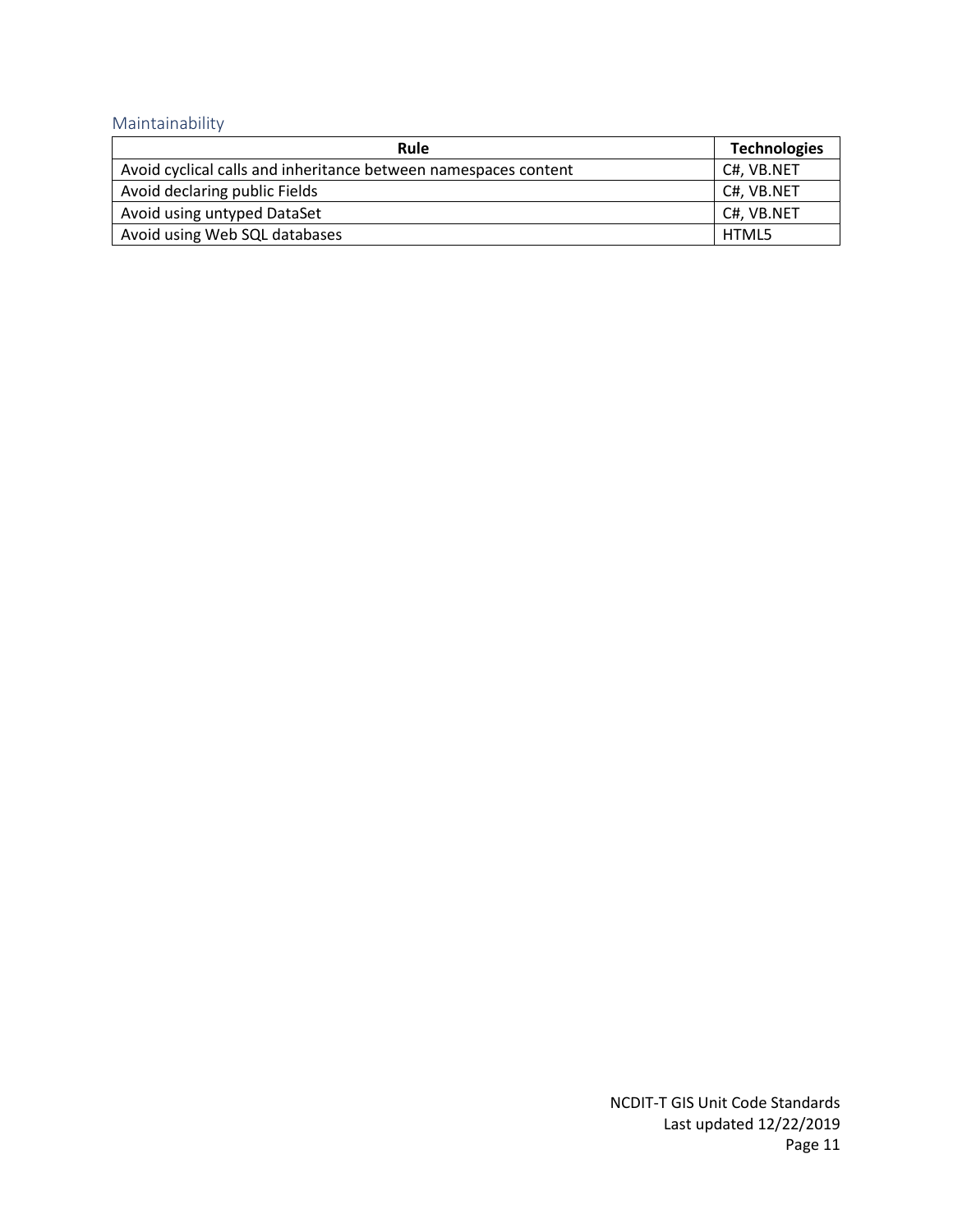# <span id="page-11-0"></span>Maintainability

| <b>Rule</b>                                                     | <b>Technologies</b> |
|-----------------------------------------------------------------|---------------------|
| Avoid cyclical calls and inheritance between namespaces content | C#, VB.NET          |
| Avoid declaring public Fields                                   | C#, VB.NET          |
| Avoid using untyped DataSet                                     | C#, VB.NET          |
| Avoid using Web SQL databases                                   | HTML5               |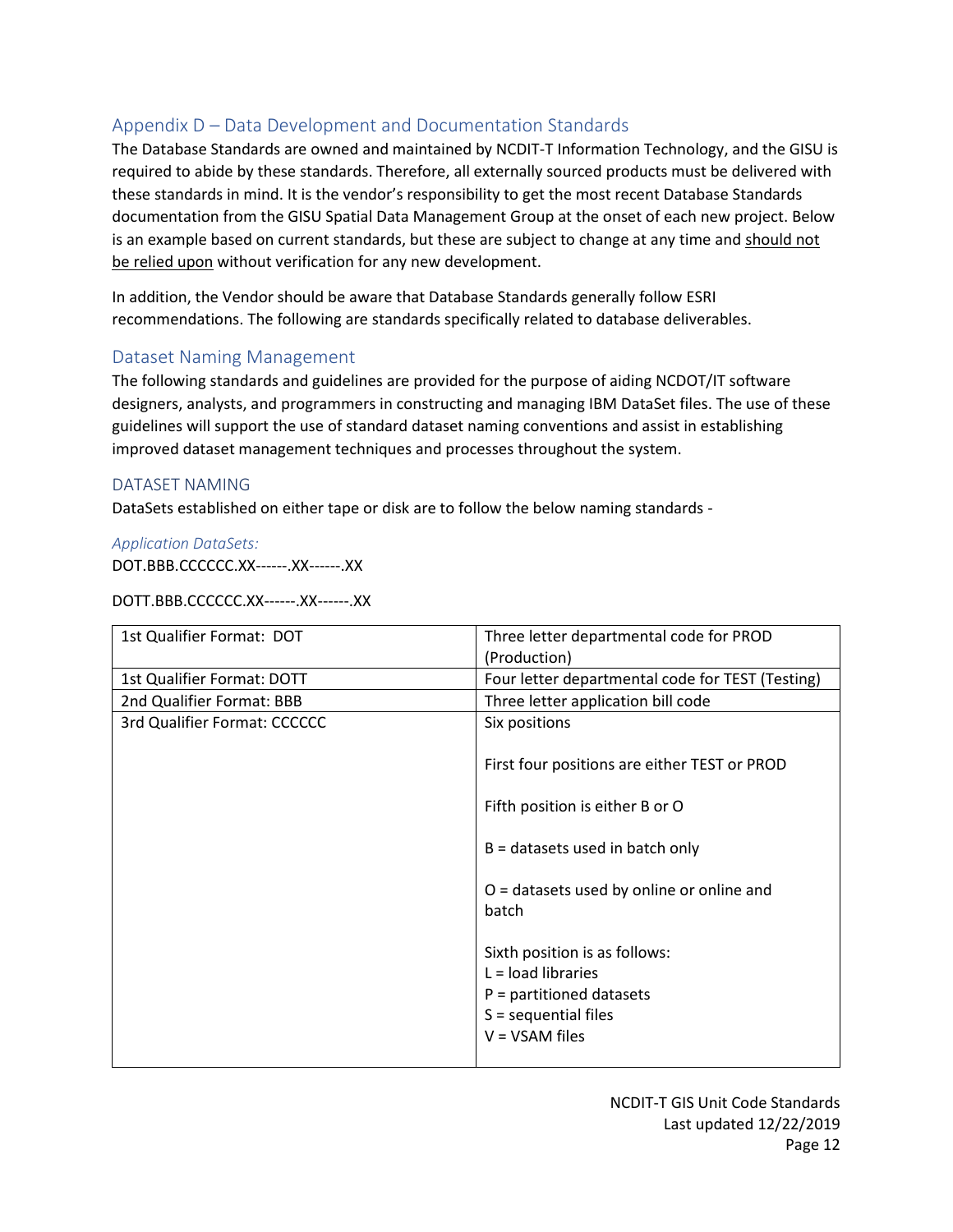# <span id="page-12-0"></span>Appendix D – Data Development and Documentation Standards

The Database Standards are owned and maintained by NCDIT-T Information Technology, and the GISU is required to abide by these standards. Therefore, all externally sourced products must be delivered with these standards in mind. It is the vendor's responsibility to get the most recent Database Standards documentation from the GISU Spatial Data Management Group at the onset of each new project. Below is an example based on current standards, but these are subject to change at any time and should not be relied upon without verification for any new development.

In addition, the Vendor should be aware that Database Standards generally follow ESRI recommendations. The following are standards specifically related to database deliverables.

### <span id="page-12-1"></span>Dataset Naming Management

The following standards and guidelines are provided for the purpose of aiding NCDOT/IT software designers, analysts, and programmers in constructing and managing IBM DataSet files. The use of these guidelines will support the use of standard dataset naming conventions and assist in establishing improved dataset management techniques and processes throughout the system.

### <span id="page-12-2"></span>DATASET NAMING

DataSets established on either tape or disk are to follow the below naming standards -

*Application DataSets:* 

DOT.BBB.CCCCCC.XX------.XX------.XX

DOTT.BBB.CCCCCC.XX------.XX------.XX

| 1st Qualifier Format: DOT    | Three letter departmental code for PROD                                                                                           |
|------------------------------|-----------------------------------------------------------------------------------------------------------------------------------|
|                              | (Production)                                                                                                                      |
| 1st Qualifier Format: DOTT   | Four letter departmental code for TEST (Testing)                                                                                  |
| 2nd Qualifier Format: BBB    | Three letter application bill code                                                                                                |
| 3rd Qualifier Format: CCCCCC | Six positions                                                                                                                     |
|                              | First four positions are either TEST or PROD                                                                                      |
|                              | Fifth position is either B or O                                                                                                   |
|                              | $B =$ datasets used in batch only                                                                                                 |
|                              | $O =$ datasets used by online or online and<br>batch                                                                              |
|                              | Sixth position is as follows:<br>$L =$ load libraries<br>$P =$ partitioned datasets<br>$S =$ sequential files<br>$V = VSAM$ files |
|                              |                                                                                                                                   |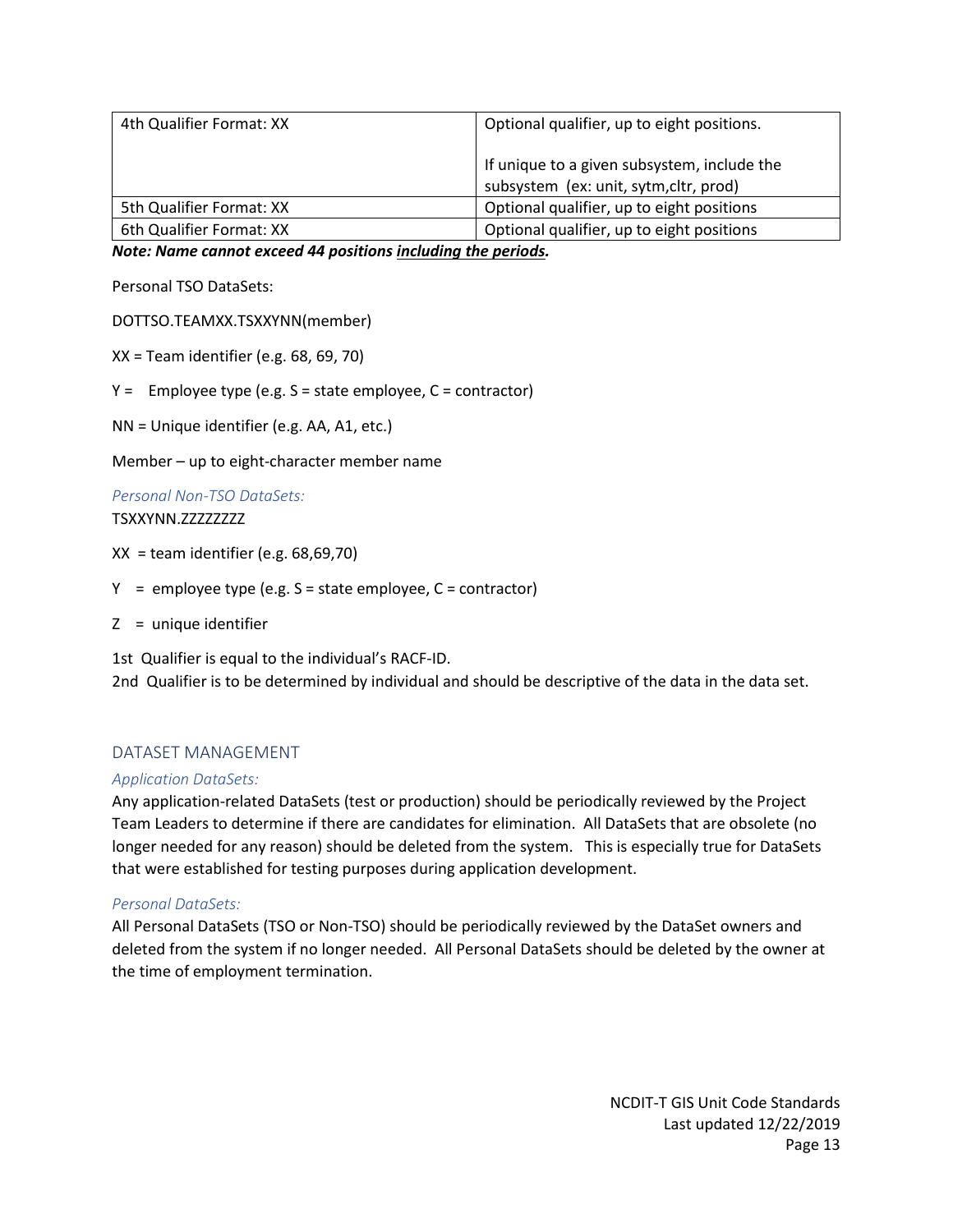| 4th Qualifier Format: XX | Optional qualifier, up to eight positions.                                            |
|--------------------------|---------------------------------------------------------------------------------------|
|                          | If unique to a given subsystem, include the<br>subsystem (ex: unit, sytm, cltr, prod) |
| 5th Qualifier Format: XX | Optional qualifier, up to eight positions                                             |
| 6th Qualifier Format: XX | Optional qualifier, up to eight positions                                             |

*Note: Name cannot exceed 44 positions including the periods.*

Personal TSO DataSets:

DOTTSO.TEAMXX.TSXXYNN(member)

XX = Team identifier (e.g. 68, 69, 70)

 $Y =$  Employee type (e.g.  $S =$  state employee,  $C =$  contractor)

NN = Unique identifier (e.g. AA, A1, etc.)

Member – up to eight-character member name

*Personal Non-TSO DataSets:* TSXXYNN.ZZZZZZZZZ

 $XX =$  team identifier (e.g. 68,69,70)

 $Y =$  employee type (e.g.  $S =$  state employee,  $C =$  contractor)

Z = unique identifier

1st Qualifier is equal to the individual's RACF-ID. 2nd Qualifier is to be determined by individual and should be descriptive of the data in the data set.

### <span id="page-13-0"></span>DATASET MANAGEMENT

#### *Application DataSets:*

Any application-related DataSets (test or production) should be periodically reviewed by the Project Team Leaders to determine if there are candidates for elimination. All DataSets that are obsolete (no longer needed for any reason) should be deleted from the system. This is especially true for DataSets that were established for testing purposes during application development.

#### *Personal DataSets:*

All Personal DataSets (TSO or Non-TSO) should be periodically reviewed by the DataSet owners and deleted from the system if no longer needed. All Personal DataSets should be deleted by the owner at the time of employment termination.

> NCDIT-T GIS Unit Code Standards Last updated 12/22/2019 Page 13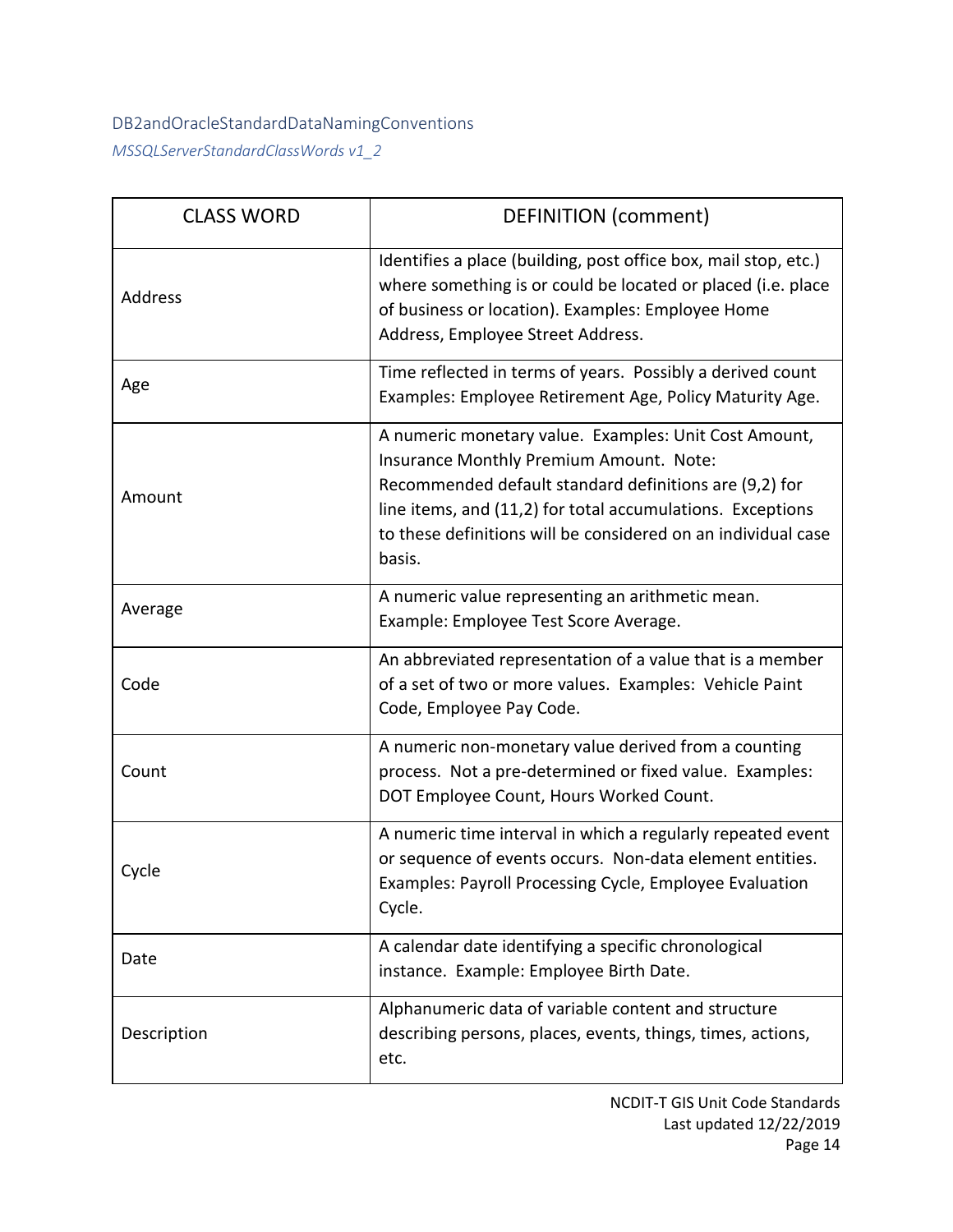# <span id="page-14-0"></span>DB2andOracleStandardDataNamingConventions *MSSQLServerStandardClassWords v1\_2*

| <b>CLASS WORD</b> | <b>DEFINITION (comment)</b>                                                                                                                                                                                                                                                                         |
|-------------------|-----------------------------------------------------------------------------------------------------------------------------------------------------------------------------------------------------------------------------------------------------------------------------------------------------|
| Address           | Identifies a place (building, post office box, mail stop, etc.)<br>where something is or could be located or placed (i.e. place<br>of business or location). Examples: Employee Home<br>Address, Employee Street Address.                                                                           |
| Age               | Time reflected in terms of years. Possibly a derived count<br>Examples: Employee Retirement Age, Policy Maturity Age.                                                                                                                                                                               |
| Amount            | A numeric monetary value. Examples: Unit Cost Amount,<br>Insurance Monthly Premium Amount. Note:<br>Recommended default standard definitions are (9,2) for<br>line items, and (11,2) for total accumulations. Exceptions<br>to these definitions will be considered on an individual case<br>basis. |
| Average           | A numeric value representing an arithmetic mean.<br>Example: Employee Test Score Average.                                                                                                                                                                                                           |
| Code              | An abbreviated representation of a value that is a member<br>of a set of two or more values. Examples: Vehicle Paint<br>Code, Employee Pay Code.                                                                                                                                                    |
| Count             | A numeric non-monetary value derived from a counting<br>process. Not a pre-determined or fixed value. Examples:<br>DOT Employee Count, Hours Worked Count.                                                                                                                                          |
| Cycle             | A numeric time interval in which a regularly repeated event<br>or sequence of events occurs. Non-data element entities.<br>Examples: Payroll Processing Cycle, Employee Evaluation<br>Cycle.                                                                                                        |
| Date              | A calendar date identifying a specific chronological<br>instance. Example: Employee Birth Date.                                                                                                                                                                                                     |
| Description       | Alphanumeric data of variable content and structure<br>describing persons, places, events, things, times, actions,<br>etc.                                                                                                                                                                          |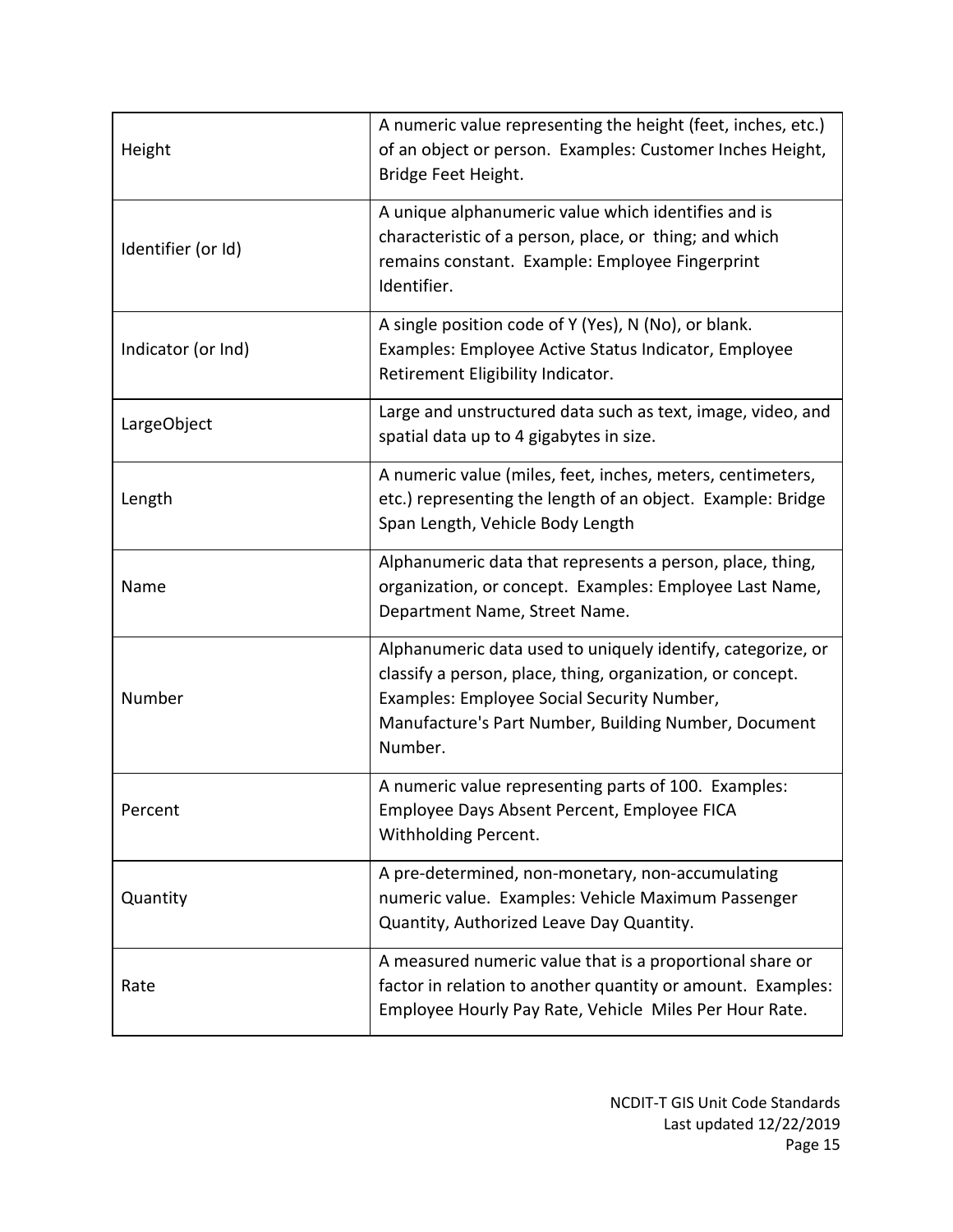| Height             | A numeric value representing the height (feet, inches, etc.)<br>of an object or person. Examples: Customer Inches Height,<br>Bridge Feet Height.                                                                                           |
|--------------------|--------------------------------------------------------------------------------------------------------------------------------------------------------------------------------------------------------------------------------------------|
| Identifier (or Id) | A unique alphanumeric value which identifies and is<br>characteristic of a person, place, or thing; and which<br>remains constant. Example: Employee Fingerprint<br>Identifier.                                                            |
| Indicator (or Ind) | A single position code of Y (Yes), N (No), or blank.<br>Examples: Employee Active Status Indicator, Employee<br>Retirement Eligibility Indicator.                                                                                          |
| LargeObject        | Large and unstructured data such as text, image, video, and<br>spatial data up to 4 gigabytes in size.                                                                                                                                     |
| Length             | A numeric value (miles, feet, inches, meters, centimeters,<br>etc.) representing the length of an object. Example: Bridge<br>Span Length, Vehicle Body Length                                                                              |
| Name               | Alphanumeric data that represents a person, place, thing,<br>organization, or concept. Examples: Employee Last Name,<br>Department Name, Street Name.                                                                                      |
| Number             | Alphanumeric data used to uniquely identify, categorize, or<br>classify a person, place, thing, organization, or concept.<br>Examples: Employee Social Security Number,<br>Manufacture's Part Number, Building Number, Document<br>Number. |
| Percent            | A numeric value representing parts of 100. Examples:<br>Employee Days Absent Percent, Employee FICA<br>Withholding Percent.                                                                                                                |
| Quantity           | A pre-determined, non-monetary, non-accumulating<br>numeric value. Examples: Vehicle Maximum Passenger<br>Quantity, Authorized Leave Day Quantity.                                                                                         |
| Rate               | A measured numeric value that is a proportional share or<br>factor in relation to another quantity or amount. Examples:<br>Employee Hourly Pay Rate, Vehicle Miles Per Hour Rate.                                                          |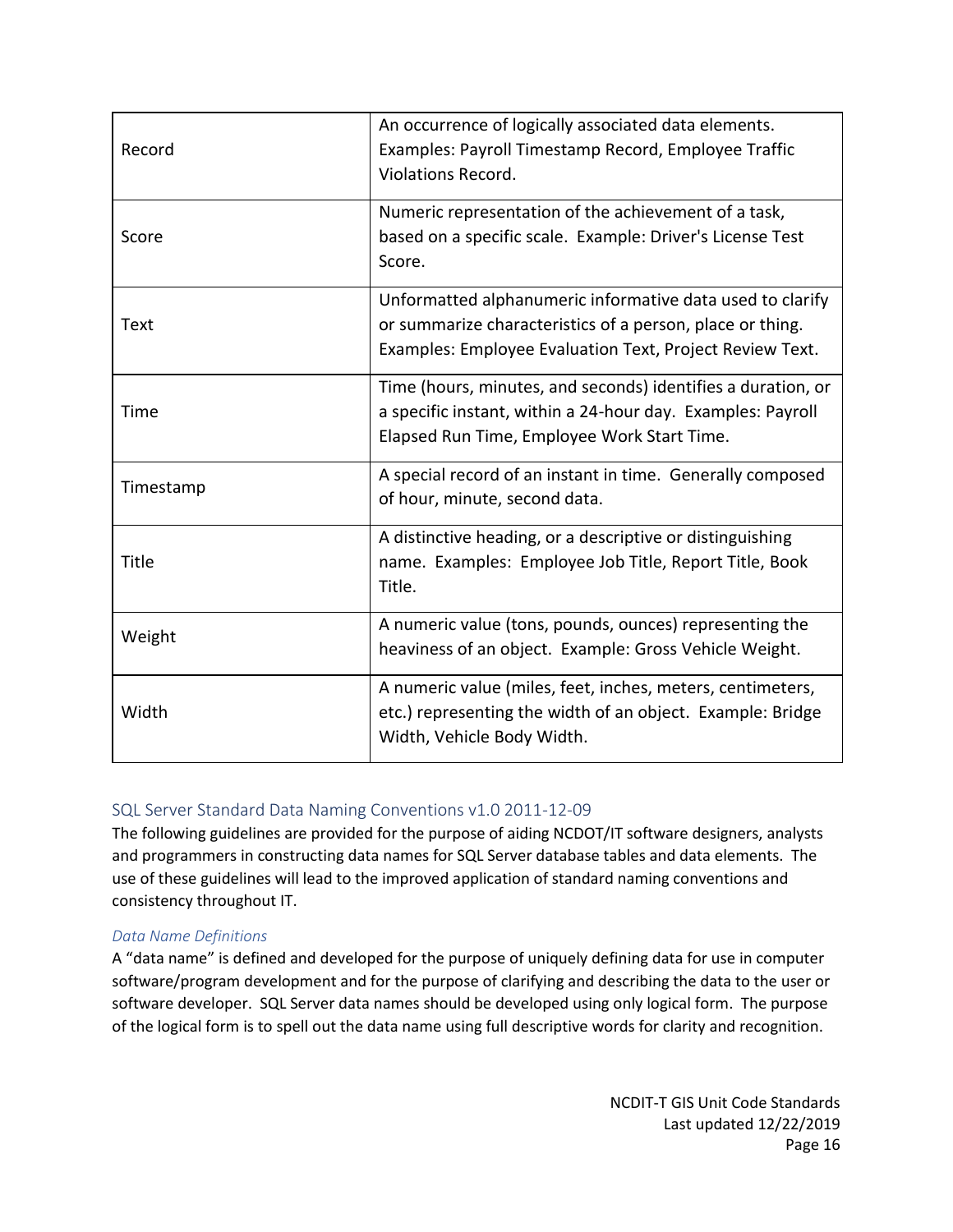| Record    | An occurrence of logically associated data elements.<br>Examples: Payroll Timestamp Record, Employee Traffic<br><b>Violations Record.</b>                                          |
|-----------|------------------------------------------------------------------------------------------------------------------------------------------------------------------------------------|
| Score     | Numeric representation of the achievement of a task,<br>based on a specific scale. Example: Driver's License Test<br>Score.                                                        |
| Text      | Unformatted alphanumeric informative data used to clarify<br>or summarize characteristics of a person, place or thing.<br>Examples: Employee Evaluation Text, Project Review Text. |
| Time      | Time (hours, minutes, and seconds) identifies a duration, or<br>a specific instant, within a 24-hour day. Examples: Payroll<br>Elapsed Run Time, Employee Work Start Time.         |
| Timestamp | A special record of an instant in time. Generally composed<br>of hour, minute, second data.                                                                                        |
| Title     | A distinctive heading, or a descriptive or distinguishing<br>name. Examples: Employee Job Title, Report Title, Book<br>Title.                                                      |
| Weight    | A numeric value (tons, pounds, ounces) representing the<br>heaviness of an object. Example: Gross Vehicle Weight.                                                                  |
| Width     | A numeric value (miles, feet, inches, meters, centimeters,<br>etc.) representing the width of an object. Example: Bridge<br>Width, Vehicle Body Width.                             |

### <span id="page-16-0"></span>SQL Server Standard Data Naming Conventions v1.0 2011-12-09

The following guidelines are provided for the purpose of aiding NCDOT/IT software designers, analysts and programmers in constructing data names for SQL Server database tables and data elements. The use of these guidelines will lead to the improved application of standard naming conventions and consistency throughout IT.

#### *Data Name Definitions*

A "data name" is defined and developed for the purpose of uniquely defining data for use in computer software/program development and for the purpose of clarifying and describing the data to the user or software developer. SQL Server data names should be developed using only logical form. The purpose of the logical form is to spell out the data name using full descriptive words for clarity and recognition.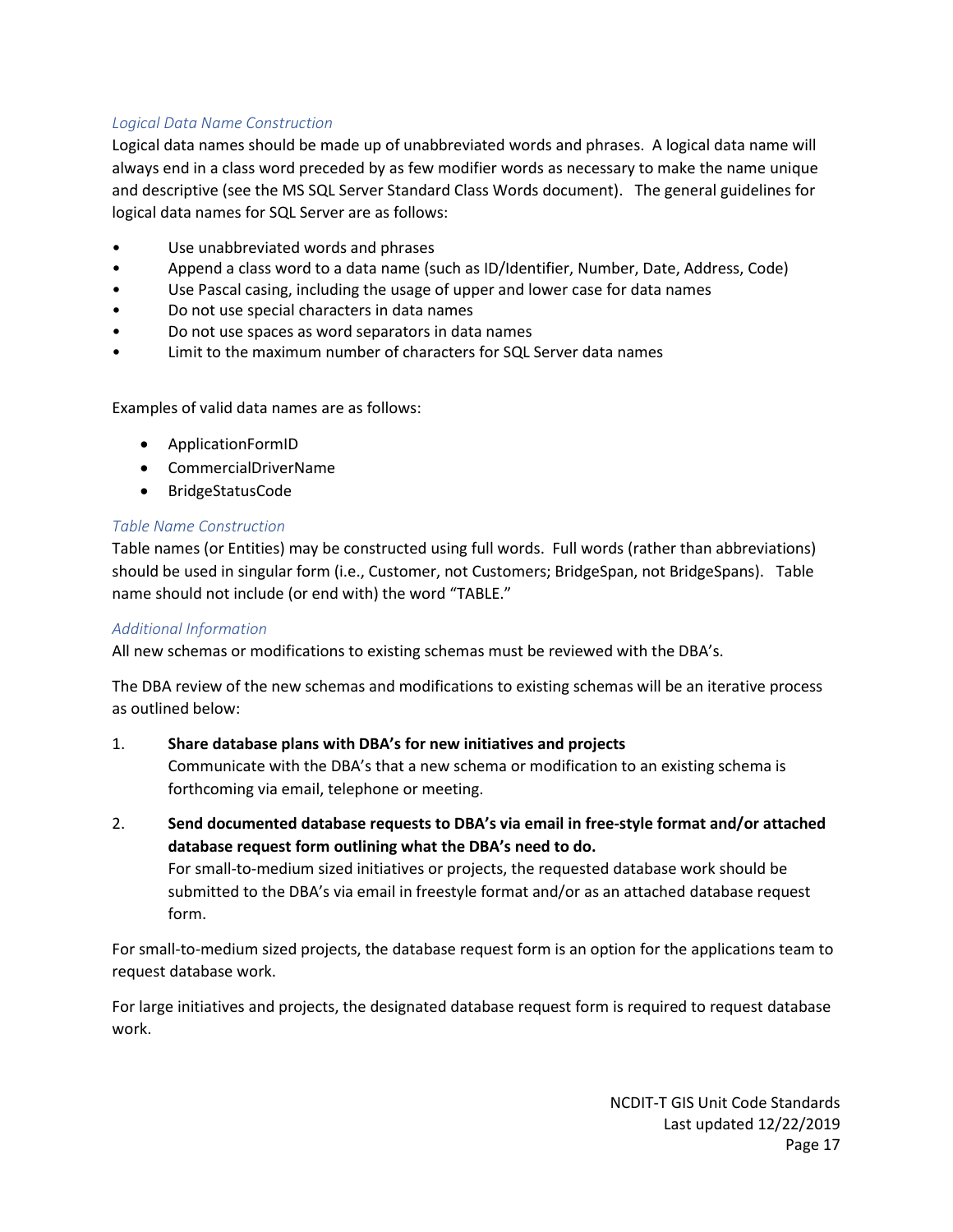### *Logical Data Name Construction*

Logical data names should be made up of unabbreviated words and phrases. A logical data name will always end in a class word preceded by as few modifier words as necessary to make the name unique and descriptive (see the MS SQL Server Standard Class Words document). The general guidelines for logical data names for SQL Server are as follows:

- Use unabbreviated words and phrases
- Append a class word to a data name (such as ID/Identifier, Number, Date, Address, Code)
- Use Pascal casing, including the usage of upper and lower case for data names
- Do not use special characters in data names
- Do not use spaces as word separators in data names
- Limit to the maximum number of characters for SQL Server data names

Examples of valid data names are as follows:

- ApplicationFormID
- CommercialDriverName
- BridgeStatusCode

#### *Table Name Construction*

Table names (or Entities) may be constructed using full words. Full words (rather than abbreviations) should be used in singular form (i.e., Customer, not Customers; BridgeSpan, not BridgeSpans). Table name should not include (or end with) the word "TABLE."

#### *Additional Information*

All new schemas or modifications to existing schemas must be reviewed with the DBA's.

The DBA review of the new schemas and modifications to existing schemas will be an iterative process as outlined below:

#### 1. **Share database plans with DBA's for new initiatives and projects**

Communicate with the DBA's that a new schema or modification to an existing schema is forthcoming via email, telephone or meeting.

2. **Send documented database requests to DBA's via email in free-style format and/or attached database request form outlining what the DBA's need to do.** For small-to-medium sized initiatives or projects, the requested database work should be submitted to the DBA's via email in freestyle format and/or as an attached database request form.

For small-to-medium sized projects, the database request form is an option for the applications team to request database work.

For large initiatives and projects, the designated database request form is required to request database work.

> NCDIT-T GIS Unit Code Standards Last updated 12/22/2019 Page 17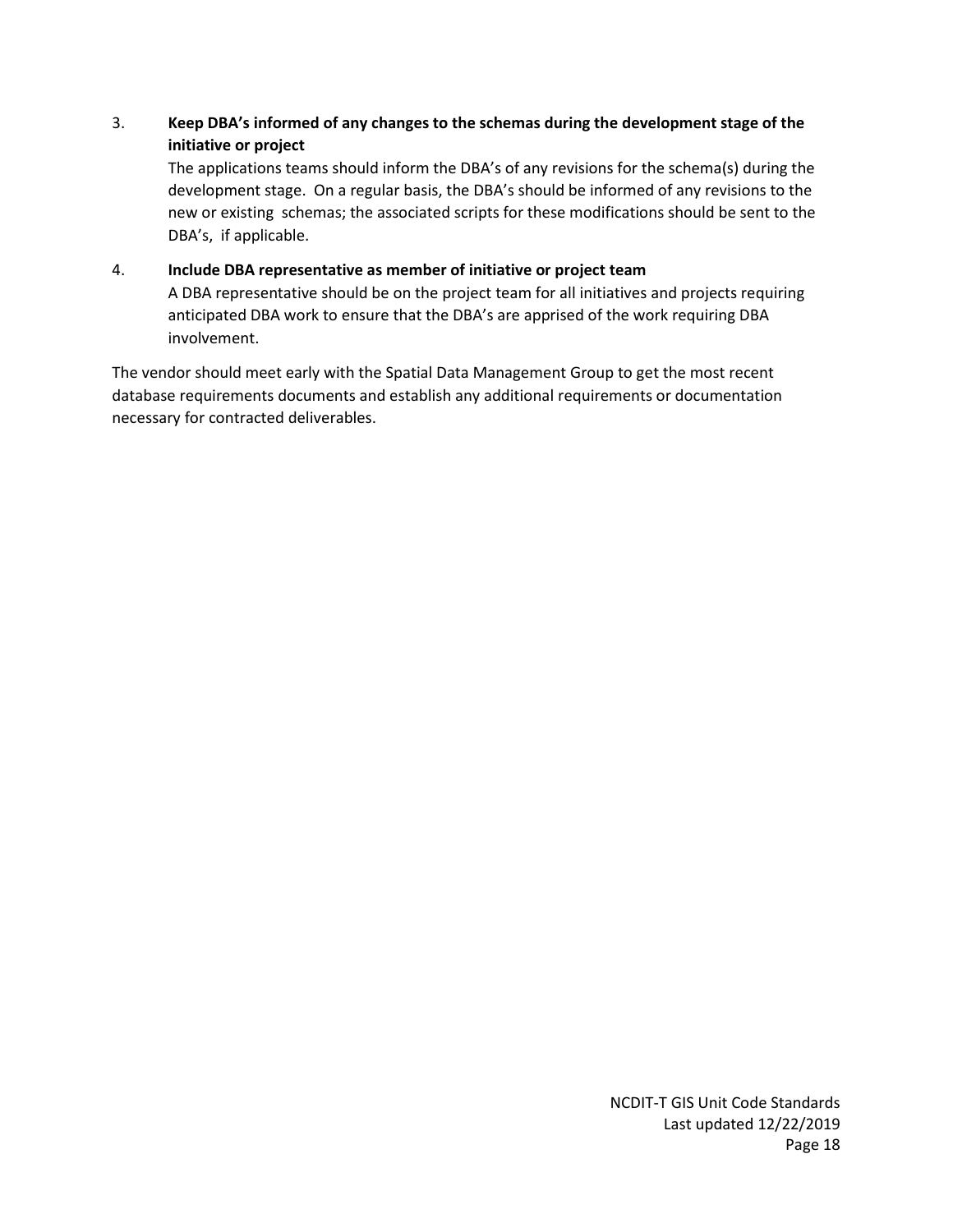### 3. **Keep DBA's informed of any changes to the schemas during the development stage of the initiative or project**

The applications teams should inform the DBA's of any revisions for the schema(s) during the development stage. On a regular basis, the DBA's should be informed of any revisions to the new or existing schemas; the associated scripts for these modifications should be sent to the DBA's, if applicable.

### 4. **Include DBA representative as member of initiative or project team**

A DBA representative should be on the project team for all initiatives and projects requiring anticipated DBA work to ensure that the DBA's are apprised of the work requiring DBA involvement.

<span id="page-18-0"></span>The vendor should meet early with the Spatial Data Management Group to get the most recent database requirements documents and establish any additional requirements or documentation necessary for contracted deliverables.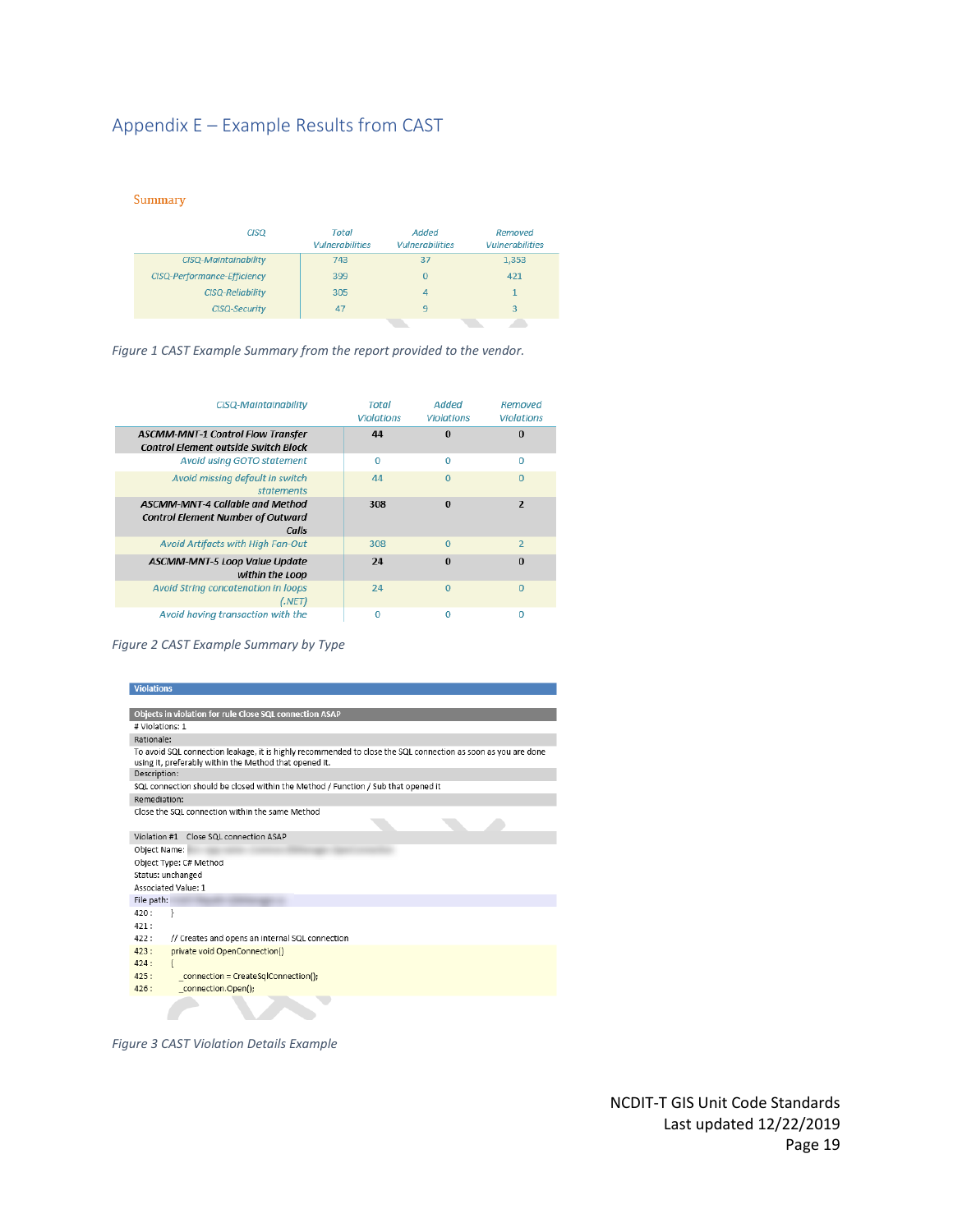# Appendix E – Example Results from CAST

Summary

| <b>CISQ</b>                        | Total<br><b>Vulnerabilities</b> | Added<br><b>Vulnerabilities</b> | <b>Removed</b><br><b>Vulnerabilities</b> |
|------------------------------------|---------------------------------|---------------------------------|------------------------------------------|
| <b>CISQ-Maintainability</b>        | 743                             | 37                              | 1,353                                    |
| <b>CISQ-Performance-Efficiency</b> | 399                             |                                 | 421                                      |
| <b>CISQ-Reliability</b>            | 305                             |                                 |                                          |
| <b>CISQ-Security</b>               | 47                              |                                 | 3                                        |
|                                    |                                 |                                 |                                          |

*Figure 1 CAST Example Summary from the report provided to the vendor.*

| CISQ-Maintainability                                                                        | Total<br><b>Violations</b> | Added<br><b>Violations</b> | Removed<br><b>Violations</b> |
|---------------------------------------------------------------------------------------------|----------------------------|----------------------------|------------------------------|
| <b>ASCMM-MNT-1 Control Flow Transfer</b><br><b>Control Element outside Switch Block</b>     | 44                         | $\Omega$                   | $\Omega$                     |
| Avoid using GOTO statement                                                                  | $\Omega$                   | $\mathbf 0$                | 0                            |
| Avoid missing default in switch<br>statements                                               | 44                         | $\Omega$                   | $\Omega$                     |
| <b>ASCMM-MNT-4 Callable and Method</b><br><b>Control Element Number of Outward</b><br>Calls | 308                        | $\Omega$                   | $\overline{\mathbf{z}}$      |
| Avoid Artifacts with High Fan-Out                                                           | 308                        | $\Omega$                   | $\overline{2}$               |
| <b>ASCMM-MNT-5 Loop Value Update</b><br>within the Loop                                     | 24                         | $\Omega$                   | $\Omega$                     |
| Avoid String concatenation in loops<br>(.NET)                                               | 24                         | $\Omega$                   | $\Omega$                     |
| Avoid having transaction with the                                                           | $\Omega$                   | Ω                          | O                            |

*Figure 2 CAST Example Summary by Type*

| <b>Violations</b>                                                                                                                                                       |
|-------------------------------------------------------------------------------------------------------------------------------------------------------------------------|
|                                                                                                                                                                         |
| Objects in violation for rule Close SQL connection ASAP                                                                                                                 |
| # Violations: 1                                                                                                                                                         |
| Rationale:                                                                                                                                                              |
| To avoid SQL connection leakage, it is highly recommended to close the SQL connection as soon as you are done<br>using it, preferably within the Method that opened it. |
| Description:                                                                                                                                                            |
| SQL connection should be closed within the Method / Function / Sub that opened it                                                                                       |
| Remediation:                                                                                                                                                            |
| Close the SQL connection within the same Method                                                                                                                         |
| Violation #1 Close SQL connection ASAP                                                                                                                                  |
| Object Name:                                                                                                                                                            |
| Object Type: C# Method                                                                                                                                                  |
| Status: unchanged                                                                                                                                                       |
| Associated Value: 1                                                                                                                                                     |
| File path:                                                                                                                                                              |
| 420:<br>3                                                                                                                                                               |
| 421:                                                                                                                                                                    |
| 422:<br>// Creates and opens an internal SQL connection                                                                                                                 |
| 423:<br>private void OpenConnection()                                                                                                                                   |
| 424:                                                                                                                                                                    |
| 425:<br>connection = CreateSglConnection();                                                                                                                             |
| 426:<br>connection.Open();                                                                                                                                              |
|                                                                                                                                                                         |

*Figure 3 CAST Violation Details Example*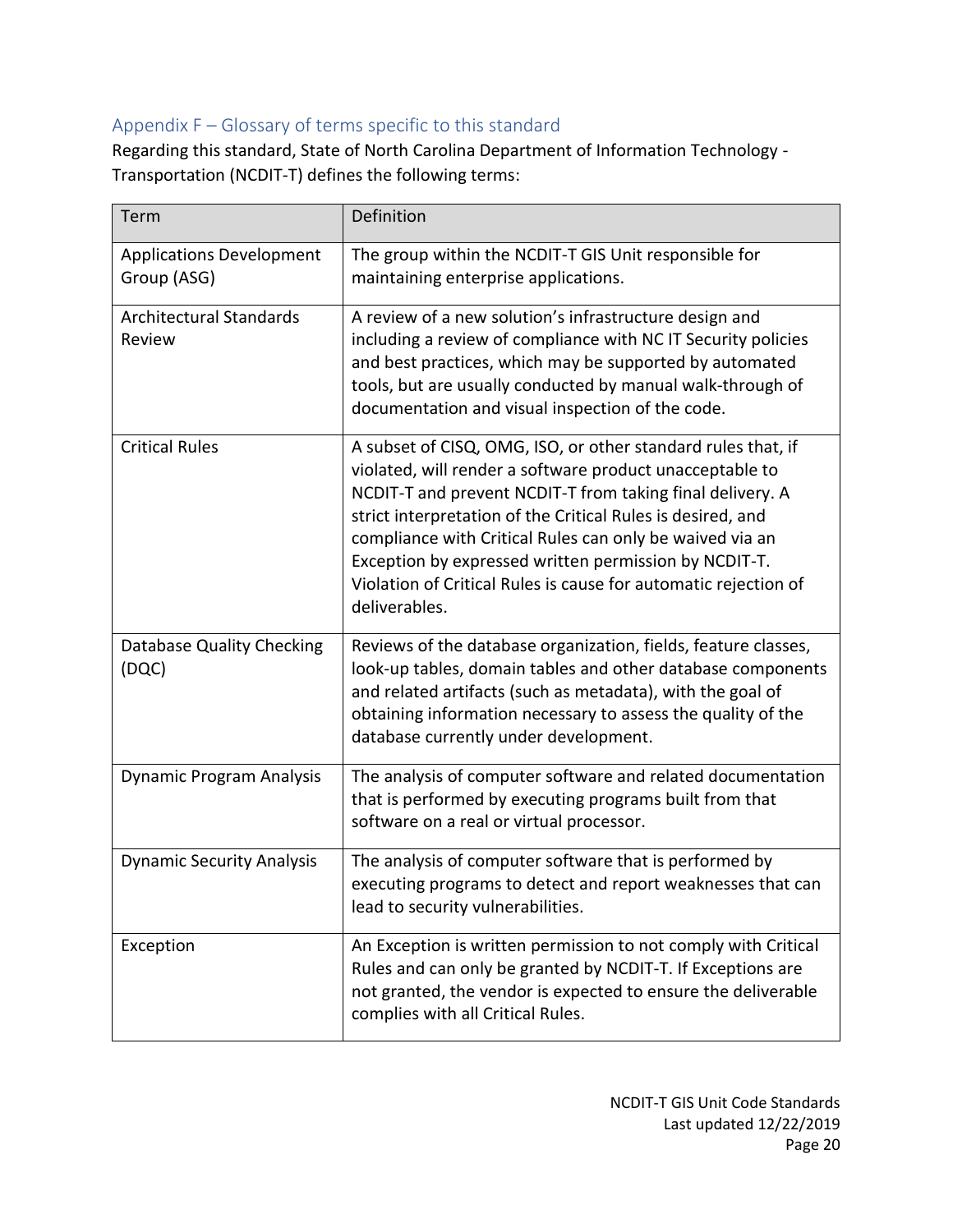# <span id="page-20-0"></span>Appendix F – Glossary of terms specific to this standard

Regarding this standard, State of North Carolina Department of Information Technology - Transportation (NCDIT-T) defines the following terms:

| Term                                           | Definition                                                                                                                                                                                                                                                                                                                                                                                                                                                    |
|------------------------------------------------|---------------------------------------------------------------------------------------------------------------------------------------------------------------------------------------------------------------------------------------------------------------------------------------------------------------------------------------------------------------------------------------------------------------------------------------------------------------|
| <b>Applications Development</b><br>Group (ASG) | The group within the NCDIT-T GIS Unit responsible for<br>maintaining enterprise applications.                                                                                                                                                                                                                                                                                                                                                                 |
| <b>Architectural Standards</b><br>Review       | A review of a new solution's infrastructure design and<br>including a review of compliance with NC IT Security policies<br>and best practices, which may be supported by automated<br>tools, but are usually conducted by manual walk-through of<br>documentation and visual inspection of the code.                                                                                                                                                          |
| <b>Critical Rules</b>                          | A subset of CISQ, OMG, ISO, or other standard rules that, if<br>violated, will render a software product unacceptable to<br>NCDIT-T and prevent NCDIT-T from taking final delivery. A<br>strict interpretation of the Critical Rules is desired, and<br>compliance with Critical Rules can only be waived via an<br>Exception by expressed written permission by NCDIT-T.<br>Violation of Critical Rules is cause for automatic rejection of<br>deliverables. |
| Database Quality Checking<br>(DQC)             | Reviews of the database organization, fields, feature classes,<br>look-up tables, domain tables and other database components<br>and related artifacts (such as metadata), with the goal of<br>obtaining information necessary to assess the quality of the<br>database currently under development.                                                                                                                                                          |
| <b>Dynamic Program Analysis</b>                | The analysis of computer software and related documentation<br>that is performed by executing programs built from that<br>software on a real or virtual processor.                                                                                                                                                                                                                                                                                            |
| <b>Dynamic Security Analysis</b>               | The analysis of computer software that is performed by<br>executing programs to detect and report weaknesses that can<br>lead to security vulnerabilities.                                                                                                                                                                                                                                                                                                    |
| Exception                                      | An Exception is written permission to not comply with Critical<br>Rules and can only be granted by NCDIT-T. If Exceptions are<br>not granted, the vendor is expected to ensure the deliverable<br>complies with all Critical Rules.                                                                                                                                                                                                                           |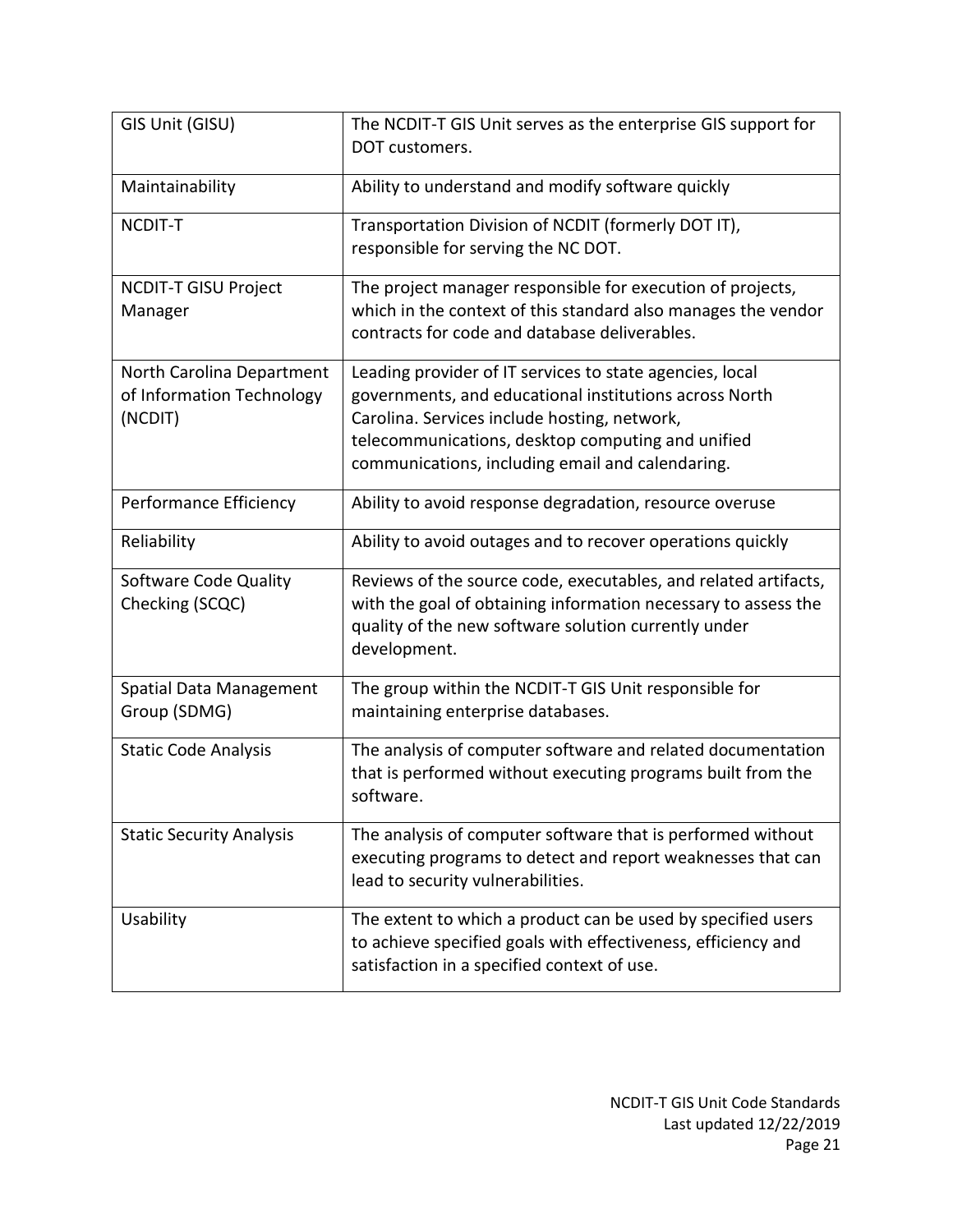| GIS Unit (GISU)                                                   | The NCDIT-T GIS Unit serves as the enterprise GIS support for<br>DOT customers.                                                                                                                                                                                             |  |
|-------------------------------------------------------------------|-----------------------------------------------------------------------------------------------------------------------------------------------------------------------------------------------------------------------------------------------------------------------------|--|
| Maintainability                                                   | Ability to understand and modify software quickly                                                                                                                                                                                                                           |  |
| NCDIT-T                                                           | Transportation Division of NCDIT (formerly DOT IT),<br>responsible for serving the NC DOT.                                                                                                                                                                                  |  |
| <b>NCDIT-T GISU Project</b><br>Manager                            | The project manager responsible for execution of projects,<br>which in the context of this standard also manages the vendor<br>contracts for code and database deliverables.                                                                                                |  |
| North Carolina Department<br>of Information Technology<br>(NCDIT) | Leading provider of IT services to state agencies, local<br>governments, and educational institutions across North<br>Carolina. Services include hosting, network,<br>telecommunications, desktop computing and unified<br>communications, including email and calendaring. |  |
| Performance Efficiency                                            | Ability to avoid response degradation, resource overuse                                                                                                                                                                                                                     |  |
| Reliability                                                       | Ability to avoid outages and to recover operations quickly                                                                                                                                                                                                                  |  |
| Software Code Quality<br>Checking (SCQC)                          | Reviews of the source code, executables, and related artifacts,<br>with the goal of obtaining information necessary to assess the<br>quality of the new software solution currently under<br>development.                                                                   |  |
| <b>Spatial Data Management</b><br>Group (SDMG)                    | The group within the NCDIT-T GIS Unit responsible for<br>maintaining enterprise databases.                                                                                                                                                                                  |  |
| <b>Static Code Analysis</b>                                       | The analysis of computer software and related documentation<br>that is performed without executing programs built from the<br>software.                                                                                                                                     |  |
| <b>Static Security Analysis</b>                                   | The analysis of computer software that is performed without<br>executing programs to detect and report weaknesses that can<br>lead to security vulnerabilities.                                                                                                             |  |
| Usability                                                         | The extent to which a product can be used by specified users<br>to achieve specified goals with effectiveness, efficiency and<br>satisfaction in a specified context of use.                                                                                                |  |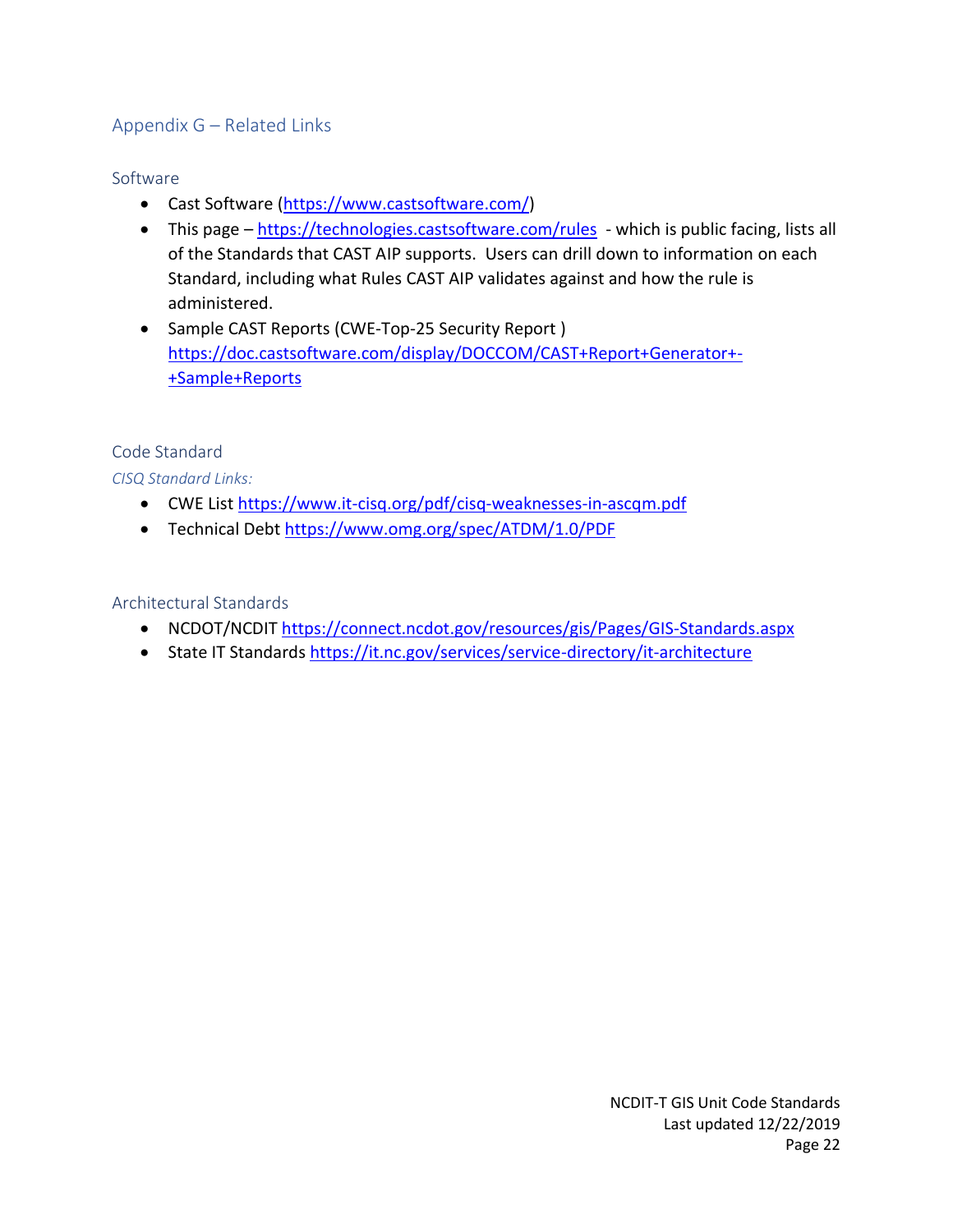# <span id="page-22-0"></span>Appendix G – Related Links

### <span id="page-22-1"></span>Software

- Cast Software [\(https://www.castsoftware.com/\)](https://www.castsoftware.com/)
- This page <https://technologies.castsoftware.com/rules> which is public facing, lists all of the Standards that CAST AIP supports. Users can drill down to information on each Standard, including what Rules CAST AIP validates against and how the rule is administered.
- Sample CAST Reports (CWE-Top-25 Security Report ) [https://doc.castsoftware.com/display/DOCCOM/CAST+Report+Generator+-](https://doc.castsoftware.com/display/DOCCOM/CAST+Report+Generator+-+Sample+Reports) [+Sample+Reports](https://doc.castsoftware.com/display/DOCCOM/CAST+Report+Generator+-+Sample+Reports)

### <span id="page-22-2"></span>Code Standard

*CISQ Standard Links:*

- CWE List<https://www.it-cisq.org/pdf/cisq-weaknesses-in-ascqm.pdf>
- Technical Debt<https://www.omg.org/spec/ATDM/1.0/PDF>

### <span id="page-22-3"></span>Architectural Standards

- NCDOT/NCDIT<https://connect.ncdot.gov/resources/gis/Pages/GIS-Standards.aspx>
- <span id="page-22-4"></span>• State IT Standards<https://it.nc.gov/services/service-directory/it-architecture>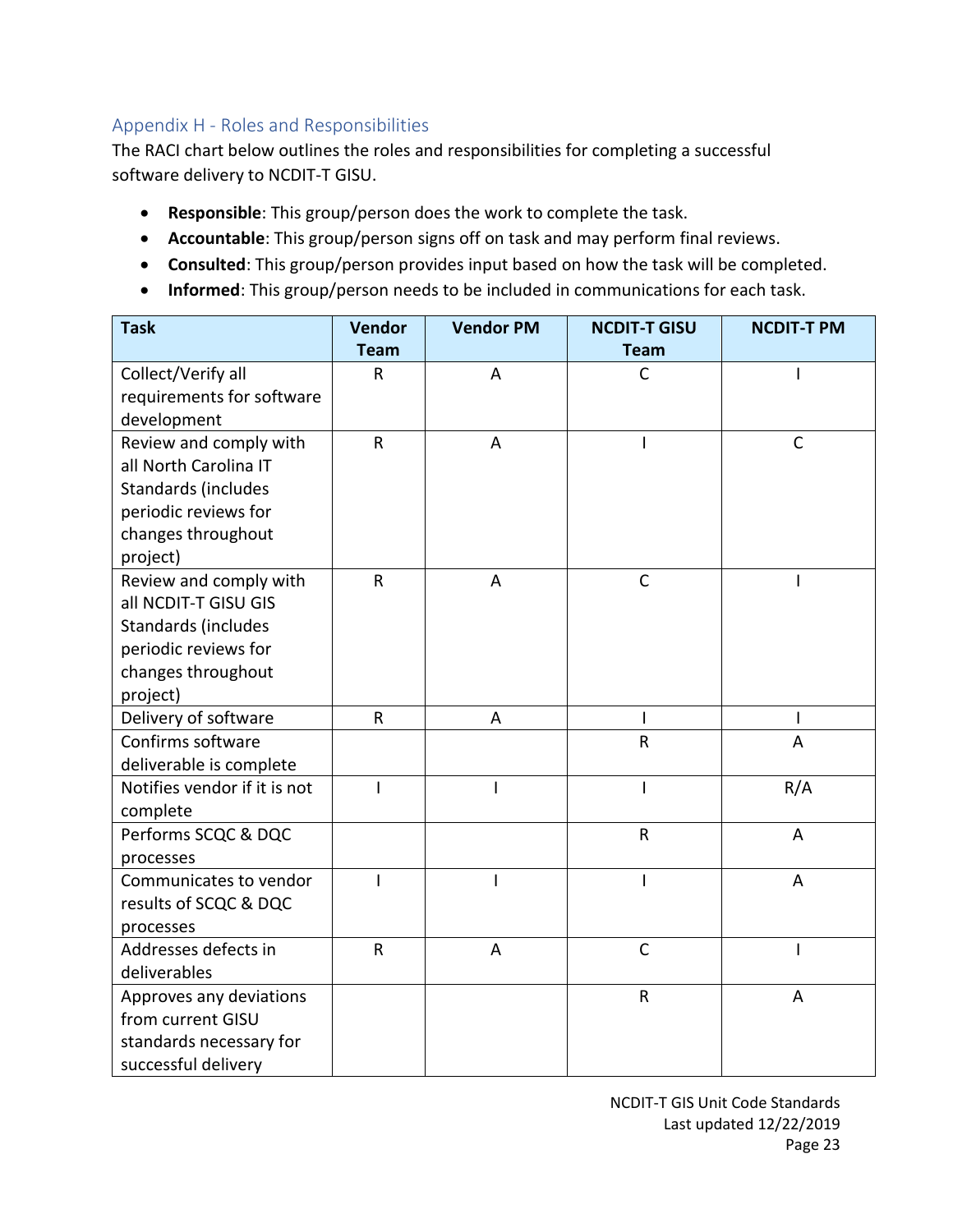# Appendix H - Roles and Responsibilities

The RACI chart below outlines the roles and responsibilities for completing a successful software delivery to NCDIT-T GISU.

- **Responsible**: This group/person does the work to complete the task.
- **Accountable**: This group/person signs off on task and may perform final reviews.
- **Consulted**: This group/person provides input based on how the task will be completed.
- **Informed**: This group/person needs to be included in communications for each task.

| <b>Task</b>                  | <b>Vendor</b> | <b>Vendor PM</b> | <b>NCDIT-T GISU</b> | <b>NCDIT-T PM</b> |
|------------------------------|---------------|------------------|---------------------|-------------------|
|                              | <b>Team</b>   |                  | <b>Team</b>         |                   |
| Collect/Verify all           | R             | A                | $\mathsf{C}$        |                   |
| requirements for software    |               |                  |                     |                   |
| development                  |               |                  |                     |                   |
| Review and comply with       | $\mathsf R$   | A                | I                   | $\mathsf{C}$      |
| all North Carolina IT        |               |                  |                     |                   |
| Standards (includes          |               |                  |                     |                   |
| periodic reviews for         |               |                  |                     |                   |
| changes throughout           |               |                  |                     |                   |
| project)                     |               |                  |                     |                   |
| Review and comply with       | $\mathsf R$   | A                | $\mathsf C$         |                   |
| all NCDIT-T GISU GIS         |               |                  |                     |                   |
| Standards (includes          |               |                  |                     |                   |
| periodic reviews for         |               |                  |                     |                   |
| changes throughout           |               |                  |                     |                   |
| project)                     |               |                  |                     |                   |
| Delivery of software         | $\mathsf R$   | A                | ı                   | I                 |
| Confirms software            |               |                  | R                   | A                 |
| deliverable is complete      |               |                  |                     |                   |
| Notifies vendor if it is not | I             | I                | I                   | R/A               |
| complete                     |               |                  |                     |                   |
| Performs SCQC & DQC          |               |                  | $\mathsf R$         | $\overline{A}$    |
| processes                    |               |                  |                     |                   |
| Communicates to vendor       |               | I                | I                   | A                 |
| results of SCQC & DQC        |               |                  |                     |                   |
| processes                    |               |                  |                     |                   |
| Addresses defects in         | ${\sf R}$     | A                | $\mathsf C$         | ı                 |
| deliverables                 |               |                  |                     |                   |
| Approves any deviations      |               |                  | R                   | A                 |
| from current GISU            |               |                  |                     |                   |
| standards necessary for      |               |                  |                     |                   |
| successful delivery          |               |                  |                     |                   |